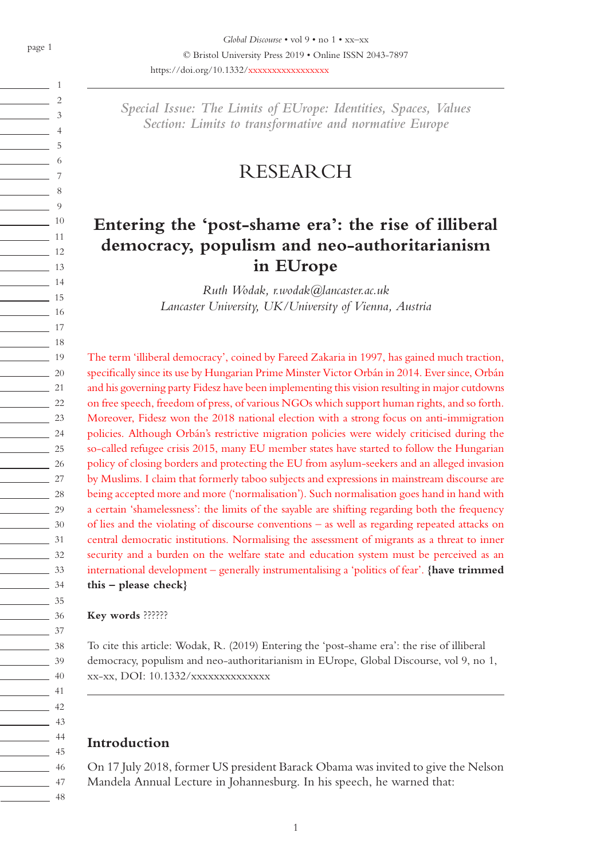1 2  $\overline{\phantom{a}}$  3  $\sim$  4  $\sim$  5  $\sim$  6 7  $\sim$  8  $\frac{1}{\sqrt{2}}$  9  $\sim$  10  $\frac{1}{11}$  $\sim$  12  $\frac{13}{13}$  $\frac{1}{14}$ 15  $\frac{1}{16}$ 17 18  $\frac{1}{2}$  19  $\frac{20}{2}$  $\sim$  21  $\frac{22}{2}$  $\frac{23}{2}$  $\frac{24}{2}$  $\frac{25}{25}$  $\frac{26}{2}$  $\frac{27}{27}$  $\overline{\phantom{2}}$  28  $\frac{29}{2}$  $\frac{30}{2}$  $\frac{31}{2}$  $\frac{32}{ }$ 33  $\frac{1}{34}$ 35  $\frac{36}{2}$  $\frac{37}{2}$ 38  $\frac{39}{2}$  $\frac{40}{2}$  $\frac{1}{41}$  $\sim$  42  $\frac{43}{ }$  $\frac{1}{44}$ 45  $\frac{1}{46}$  $\frac{1}{2}$  47  $\frac{1}{2}$  48

*Special Issue: The Limits of EUrope: Identities, Spaces, Values Section: Limits to transformative and normative Europe*

# RESEARCH

# **Entering the 'post-shame era': the rise of illiberal democracy, populism and neo-authoritarianism in EUrope**

*Ruth Wodak, r.wodak@lancaster.ac.uk Lancaster University, UK/University of Vienna, Austria*

The term 'illiberal democracy', coined by Fareed Zakaria in 1997, has gained much traction, specifically since its use by Hungarian Prime Minster Victor Orbán in 2014. Ever since, Orbán and his governing party Fidesz have been implementing this vision resulting in major cutdowns on free speech, freedom of press, of various NGOs which support human rights, and so forth. Moreover, Fidesz won the 2018 national election with a strong focus on anti-immigration policies. Although Orbán's restrictive migration policies were widely criticised during the so-called refugee crisis 2015, many EU member states have started to follow the Hungarian policy of closing borders and protecting the EU from asylum-seekers and an alleged invasion by Muslims. I claim that formerly taboo subjects and expressions in mainstream discourse are being accepted more and more ('normalisation'). Such normalisation goes hand in hand with a certain 'shamelessness': the limits of the sayable are shifting regarding both the frequency of lies and the violating of discourse conventions – as well as regarding repeated attacks on central democratic institutions. Normalising the assessment of migrants as a threat to inner security and a burden on the welfare state and education system must be perceived as an international development – generally instrumentalising a 'politics of fear'. **{have trimmed this – please check}**

**Key words** ??????

To cite this article: Wodak, R. (2019) Entering the 'post-shame era': the rise of illiberal democracy, populism and neo-authoritarianism in EUrope, Global Discourse, vol 9, no 1, xx-xx, DOI: 10.1332/xxxxxxxxxxxxxx

## **Introduction**

On 17 July 2018, former US president Barack Obama was invited to give the Nelson Mandela Annual Lecture in Johannesburg. In his speech, he warned that: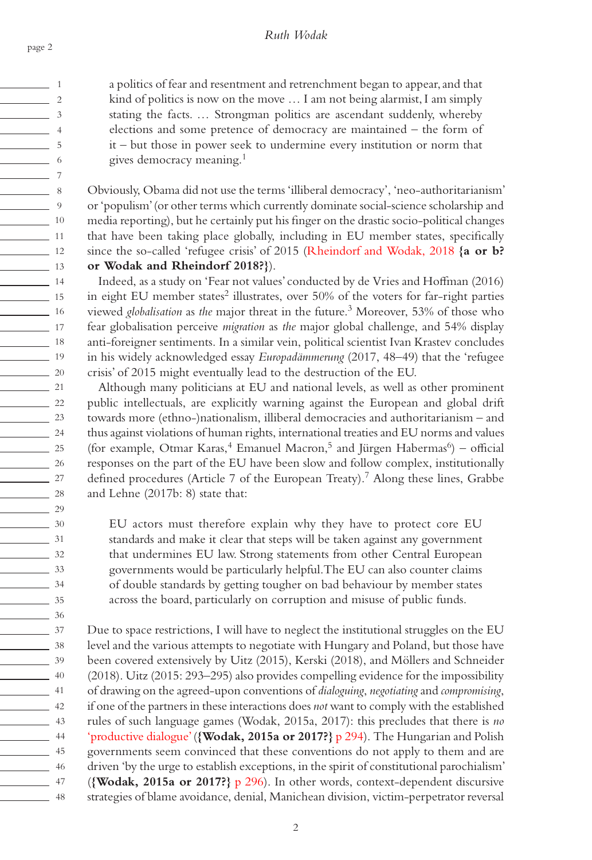$\sim$  1  $\sim$  2  $\sim$  3  $\sim$  4  $\sim$  5  $\sim$  6 7  $\sim$  8  $\frac{1}{\sqrt{2}}$  9 10  $\frac{1}{11}$  11  $\sim$  12 13  $\overline{\phantom{a}}$  14  $\frac{1}{15}$  $\frac{16}{16}$ 17 <u>18</u>  $\frac{1}{19}$  $\frac{20}{2}$  $\sim$  21  $\frac{22}{2}$  $\frac{23}{2}$  $\frac{24}{2}$  $\frac{25}{25}$  $\frac{26}{25}$ <u>27</u>  $\frac{28}{2}$  $\frac{29}{2}$  $\frac{30}{2}$  $\frac{31}{2}$  $\frac{32}{2}$ 33  $\frac{34}{ }$  $\frac{35}{2}$  $\frac{36}{2}$ 37  $\frac{1}{38}$  $\frac{39}{2}$  $\frac{40}{2}$ 41  $\frac{1}{2}$  42  $\frac{1}{43}$ 44 45 46  $\frac{1}{47}$ <u>2001 - Albert Albert III a</u>

a politics of fear and resentment and retrenchment began to appear, and that kind of politics is now on the move … I am not being alarmist, I am simply stating the facts. … Strongman politics are ascendant suddenly, whereby elections and some pretence of democracy are maintained – the form of it – but those in power seek to undermine every institution or norm that gives democracy meaning.<sup>1</sup>

Obviously, Obama did not use the terms 'illiberal democracy', 'neo-authoritarianism' or 'populism' (or other terms which currently dominate social-science scholarship and media reporting), but he certainly put his finger on the drastic socio-political changes that have been taking place globally, including in EU member states, specifically since the so-called 'refugee crisis' of 2015 (Rheindorf and Wodak, 2018 **{a or b? or Wodak and Rheindorf 2018?}**).

Indeed, as a study on 'Fear not values' conducted by de Vries and Hoffman (2016) in eight EU member states<sup>2</sup> illustrates, over  $50\%$  of the voters for far-right parties viewed *globalisation* as *the* major threat in the future.3 Moreover, 53% of those who fear globalisation perceive *migration* as *the* major global challenge, and 54% display anti-foreigner sentiments. In a similar vein, political scientist Ivan Krastev concludes in his widely acknowledged essay *Europadämmerung* (2017, 48–49) that the 'refugee crisis' of 2015 might eventually lead to the destruction of the EU.

Although many politicians at EU and national levels, as well as other prominent public intellectuals, are explicitly warning against the European and global drift towards more (ethno-)nationalism, illiberal democracies and authoritarianism – and thus against violations of human rights, international treaties and EU norms and values (for example, Otmar Karas,<sup>4</sup> Emanuel Macron,<sup>5</sup> and Jürgen Habermas<sup>6</sup>) – official responses on the part of the EU have been slow and follow complex, institutionally defined procedures (Article 7 of the European Treaty).<sup>7</sup> Along these lines, Grabbe and Lehne (2017b: 8) state that:

EU actors must therefore explain why they have to protect core EU standards and make it clear that steps will be taken against any government that undermines EU law. Strong statements from other Central European governments would be particularly helpful. The EU can also counter claims of double standards by getting tougher on bad behaviour by member states across the board, particularly on corruption and misuse of public funds.

Due to space restrictions, I will have to neglect the institutional struggles on the EU level and the various attempts to negotiate with Hungary and Poland, but those have been covered extensively by Uitz (2015), Kerski (2018), and Möllers and Schneider (2018). Uitz (2015: 293–295) also provides compelling evidence for the impossibility of drawing on the agreed-upon conventions of *dialoguing*, *negotiating* and *compromising*, if one of the partners in these interactions does *not* want to comply with the established rules of such language games (Wodak, 2015a, 2017): this precludes that there is *no* 'productive dialogue' (**{Wodak, 2015a or 2017?}** p 294). The Hungarian and Polish governments seem convinced that these conventions do not apply to them and are driven 'by the urge to establish exceptions, in the spirit of constitutional parochialism' (**{Wodak, 2015a or 2017?}** p 296). In other words, context-dependent discursive strategies of blame avoidance, denial, Manichean division, victim-perpetrator reversal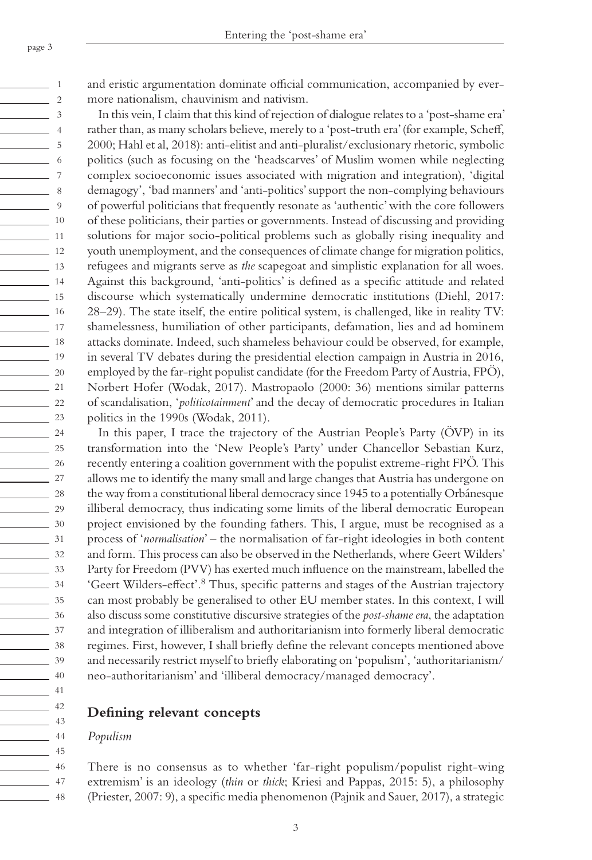$\frac{1}{\sqrt{1-\frac{1}{2}}}\quad 1$  $\sim$  2  $\sim$  3  $\frac{1}{4}$  $\sim$  5  $\frac{1}{\sqrt{1-\frac{1}{2}}}\quad 6$ 7  $\sim$  8  $\frac{1}{\sqrt{2}}$  9 10  $\frac{1}{11}$  $\frac{12}{12}$ 13  $\frac{14}{14}$ 15  $\frac{16}{16}$  $\frac{1}{2}$  17 <u>18</u>  $\frac{1}{9}$  $\sim$  20  $\sim$  21  $\frac{22}{2}$  $\frac{23}{2}$  $\frac{24}{2}$  $\frac{25}{25}$ <u>26</u> <u>27</u>  $\frac{28}{2}$  $\frac{29}{2}$ 30 31  $\frac{32}{ }$ 33  $\frac{34}{ }$  $\frac{35}{2}$  $\frac{36}{2}$ 37  $\frac{1}{\sqrt{38}}$  $\frac{39}{2}$  $\frac{40}{2}$ 41  $\frac{42}{ }$  $\frac{43}{ }$ 44 <u>45</u> <u>2001</u> 46 47  $\frac{1}{48}$  and eristic argumentation dominate official communication, accompanied by evermore nationalism, chauvinism and nativism.

In this vein, I claim that this kind of rejection of dialogue relates to a 'post-shame era' rather than, as many scholars believe, merely to a 'post-truth era' (for example, Scheff, 2000; Hahl et al, 2018): anti-elitist and anti-pluralist/exclusionary rhetoric, symbolic politics (such as focusing on the 'headscarves' of Muslim women while neglecting complex socioeconomic issues associated with migration and integration), 'digital demagogy', 'bad manners' and 'anti-politics' support the non-complying behaviours of powerful politicians that frequently resonate as 'authentic' with the core followers of these politicians, their parties or governments. Instead of discussing and providing solutions for major socio-political problems such as globally rising inequality and youth unemployment, and the consequences of climate change for migration politics, refugees and migrants serve as *the* scapegoat and simplistic explanation for all woes. Against this background, 'anti-politics' is defined as a specific attitude and related discourse which systematically undermine democratic institutions (Diehl, 2017: 28–29). The state itself, the entire political system, is challenged, like in reality TV: shamelessness, humiliation of other participants, defamation, lies and ad hominem attacks dominate. Indeed, such shameless behaviour could be observed, for example, in several TV debates during the presidential election campaign in Austria in 2016, employed by the far-right populist candidate (for the Freedom Party of Austria, FPÖ), Norbert Hofer (Wodak, 2017). Mastropaolo (2000: 36) mentions similar patterns of scandalisation, '*politicotainment*' and the decay of democratic procedures in Italian politics in the 1990s (Wodak, 2011).

In this paper, I trace the trajectory of the Austrian People's Party (ÖVP) in its transformation into the 'New People's Party' under Chancellor Sebastian Kurz, recently entering a coalition government with the populist extreme-right FPÖ. This allows me to identify the many small and large changes that Austria has undergone on the way from a constitutional liberal democracy since 1945 to a potentially Orbánesque illiberal democracy, thus indicating some limits of the liberal democratic European project envisioned by the founding fathers. This, I argue, must be recognised as a process of '*normalisation*' – the normalisation of far-right ideologies in both content and form. This process can also be observed in the Netherlands, where Geert Wilders' Party for Freedom (PVV) has exerted much influence on the mainstream, labelled the 'Geert Wilders-effect'.8 Thus, specific patterns and stages of the Austrian trajectory can most probably be generalised to other EU member states. In this context, I will also discuss some constitutive discursive strategies of the *post-shame era*, the adaptation and integration of illiberalism and authoritarianism into formerly liberal democratic regimes. First, however, I shall briefly define the relevant concepts mentioned above and necessarily restrict myself to briefly elaborating on 'populism', 'authoritarianism/ neo-authoritarianism' and 'illiberal democracy/managed democracy'.

### **Defining relevant concepts**

### *Populism*

There is no consensus as to whether 'far-right populism/populist right-wing extremism' is an ideology (*thin* or *thick*; Kriesi and Pappas, 2015: 5), a philosophy (Priester, 2007: 9), a specific media phenomenon (Pajnik and Sauer, 2017), a strategic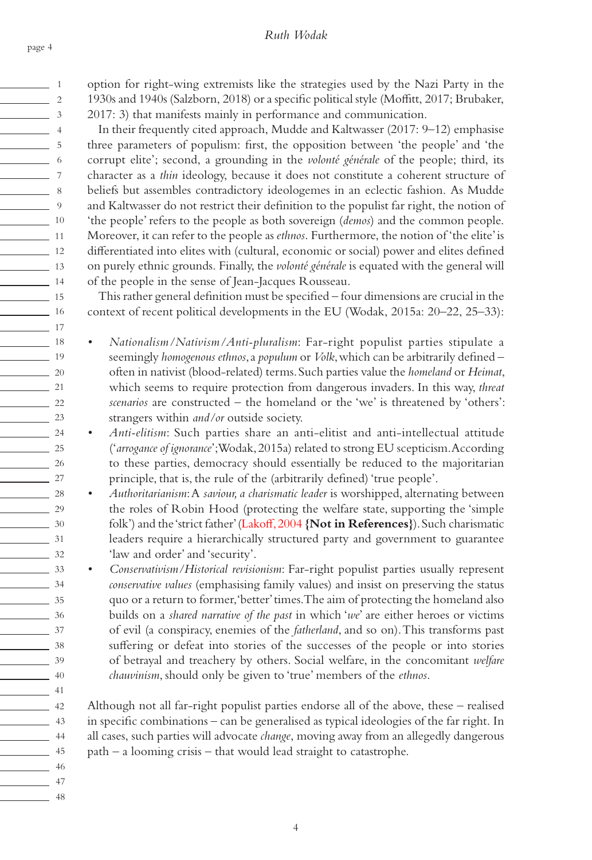$\sim$  1  $\sim$  2  $\sim$  3  $\frac{1}{4}$  $\sim$  5  $\sim$  6 7  $\frac{1}{2}$  8  $\frac{1}{\sqrt{2}}$  9 10  $\frac{1}{11}$  $\frac{12}{12}$ 13 14 15 16 17 <u>18</u>  $\frac{1}{19}$  $\sim$  20 21  $\frac{22}{2}$  $\frac{23}{2}$  $\frac{24}{2}$  $\frac{25}{25}$ 26  $\sim$  27  $\frac{28}{2}$  $\frac{29}{2}$ 30  $\frac{31}{2}$  $\frac{32}{2}$ 33 34 35  $\frac{36}{2}$  $\frac{37}{2}$  $\frac{1}{\sqrt{38}}$  $\frac{39}{2}$  $\frac{40}{2}$ 41  $\frac{42}{ }$  $\frac{1}{43}$ 44 <u>45</u> 46 47 48 option for right-wing extremists like the strategies used by the Nazi Party in the 1930s and 1940s (Salzborn, 2018) or a specific political style (Moffitt, 2017; Brubaker,

2017: 3) that manifests mainly in performance and communication.

In their frequently cited approach, Mudde and Kaltwasser (2017: 9–12) emphasise three parameters of populism: first, the opposition between 'the people' and 'the corrupt elite'; second, a grounding in the *volonté générale* of the people; third, its character as a *thin* ideology, because it does not constitute a coherent structure of beliefs but assembles contradictory ideologemes in an eclectic fashion. As Mudde and Kaltwasser do not restrict their definition to the populist far right, the notion of 'the people' refers to the people as both sovereign (*demos*) and the common people. Moreover, it can refer to the people as *ethnos*. Furthermore, the notion of 'the elite' is differentiated into elites with (cultural, economic or social) power and elites defined on purely ethnic grounds. Finally, the *volonté générale* is equated with the general will of the people in the sense of Jean-Jacques Rousseau.

This rather general definition must be specified – four dimensions are crucial in the context of recent political developments in the EU (Wodak, 2015a: 20–22, 25–33):

*• Nationalism/Nativism/Anti-pluralism*: Far-right populist parties stipulate a seemingly *homogenous ethnos*, a *populum* or *Volk*, which can be arbitrarily defined – often in nativist (blood-related) terms. Such parties value the *homeland* or *Heimat*, which seems to require protection from dangerous invaders. In this way, *threat scenarios* are constructed – the homeland or the 'we' is threatened by 'others': strangers within *and/or* outside society.

*• Anti-elitism*: Such parties share an anti-elitist and anti-intellectual attitude ('*arrogance of ignorance*'; Wodak, 2015a) related to strong EU scepticism. According to these parties, democracy should essentially be reduced to the majoritarian principle, that is, the rule of the (arbitrarily defined) 'true people'.

*• Authoritarianism*: A *saviour, a charismatic leader* is worshipped, alternating between the roles of Robin Hood (protecting the welfare state, supporting the 'simple folk') and the 'strict father' (Lakoff, 2004 **{Not in References}**). Such charismatic leaders require a hierarchically structured party and government to guarantee 'law and order' and 'security'.

*• Conservativism/Historical revisionism*: Far-right populist parties usually represent *conservative values* (emphasising family values) and insist on preserving the status quo or a return to former, 'better' times. The aim of protecting the homeland also builds on a *shared narrative of the past* in which '*we*' are either heroes or victims of evil (a conspiracy, enemies of the *fatherland*, and so on). This transforms past suffering or defeat into stories of the successes of the people or into stories of betrayal and treachery by others. Social welfare, in the concomitant *welfare chauvinism*, should only be given to 'true' members of the *ethnos*.

Although not all far-right populist parties endorse all of the above, these – realised in specific combinations – can be generalised as typical ideologies of the far right. In all cases, such parties will advocate *change*, moving away from an allegedly dangerous path – a looming crisis – that would lead straight to catastrophe.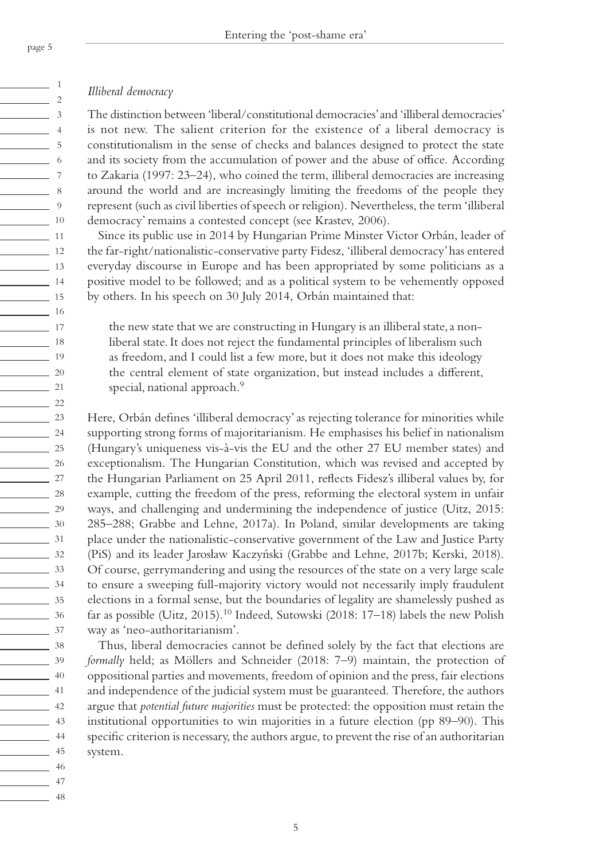### *Illiberal democracy*

The distinction between 'liberal/constitutional democracies' and 'illiberal democracies' is not new. The salient criterion for the existence of a liberal democracy is constitutionalism in the sense of checks and balances designed to protect the state and its society from the accumulation of power and the abuse of office. According to Zakaria (1997: 23–24), who coined the term, illiberal democracies are increasing around the world and are increasingly limiting the freedoms of the people they represent (such as civil liberties of speech or religion). Nevertheless, the term 'illiberal democracy' remains a contested concept (see Krastev, 2006).

Since its public use in 2014 by Hungarian Prime Minster Victor Orbán, leader of the far-right/nationalistic-conservative party Fidesz, 'illiberal democracy' has entered everyday discourse in Europe and has been appropriated by some politicians as a positive model to be followed; and as a political system to be vehemently opposed by others. In his speech on 30 July 2014, Orbán maintained that:

the new state that we are constructing in Hungary is an illiberal state, a nonliberal state. It does not reject the fundamental principles of liberalism such as freedom, and I could list a few more, but it does not make this ideology the central element of state organization, but instead includes a different, special, national approach.<sup>9</sup>

Here, Orbán defines 'illiberal democracy' as rejecting tolerance for minorities while supporting strong forms of majoritarianism. He emphasises his belief in nationalism (Hungary's uniqueness vis-à-vis the EU and the other 27 EU member states) and exceptionalism. The Hungarian Constitution, which was revised and accepted by the Hungarian Parliament on 25 April 2011, reflects Fidesz's illiberal values by, for example, cutting the freedom of the press, reforming the electoral system in unfair ways, and challenging and undermining the independence of justice (Uitz, 2015: 285–288; Grabbe and Lehne, 2017a). In Poland, similar developments are taking place under the nationalistic-conservative government of the Law and Justice Party (PiS) and its leader Jarosław Kaczyński (Grabbe and Lehne, 2017b; Kerski, 2018). Of course, gerrymandering and using the resources of the state on a very large scale to ensure a sweeping full-majority victory would not necessarily imply fraudulent elections in a formal sense, but the boundaries of legality are shamelessly pushed as far as possible (Uitz, 2015).<sup>10</sup> Indeed, Sutowski (2018: 17–18) labels the new Polish way as 'neo-authoritarianism'.

Thus, liberal democracies cannot be defined solely by the fact that elections are *formally* held; as Möllers and Schneider (2018: 7–9) maintain, the protection of oppositional parties and movements, freedom of opinion and the press, fair elections and independence of the judicial system must be guaranteed. Therefore, the authors argue that *potential future majorities* must be protected: the opposition must retain the institutional opportunities to win majorities in a future election (pp 89–90). This specific criterion is necessary, the authors argue, to prevent the rise of an authoritarian system.

 $\frac{1}{\sqrt{1-\frac{1}{2}}}$  $\sim$  2  $\sim$  3  $\sim$  4  $\frac{1}{\sqrt{2}}$  5  $\sim$  6  $\sim$  7  $\sim$  8  $\frac{9}{2}$ 10  $\frac{1}{11}$  11  $\frac{12}{2}$ 13 14 15  $\frac{16}{16}$ 17 18  $\frac{1}{19}$  $\frac{20}{2}$ 21  $\frac{22}{2}$  $\frac{23}{2}$  $\frac{24}{2}$  $\frac{25}{25}$  $\frac{26}{2}$  $\sim$  27  $\frac{28}{2}$  $\frac{29}{2}$  $\frac{30}{2}$  $\frac{31}{2}$  $\frac{32}{2}$  $\frac{33}{2}$  $\frac{34}{ }$ 35  $\frac{36}{2}$ 37  $\frac{1}{\sqrt{3}}$  38  $\frac{39}{2}$  $\frac{40}{2}$ 41  $\frac{42}{ }$  $\frac{43}{ }$  $\sim$  44 <u>45</u> <u>2001 - Abdullah II</u> 47 48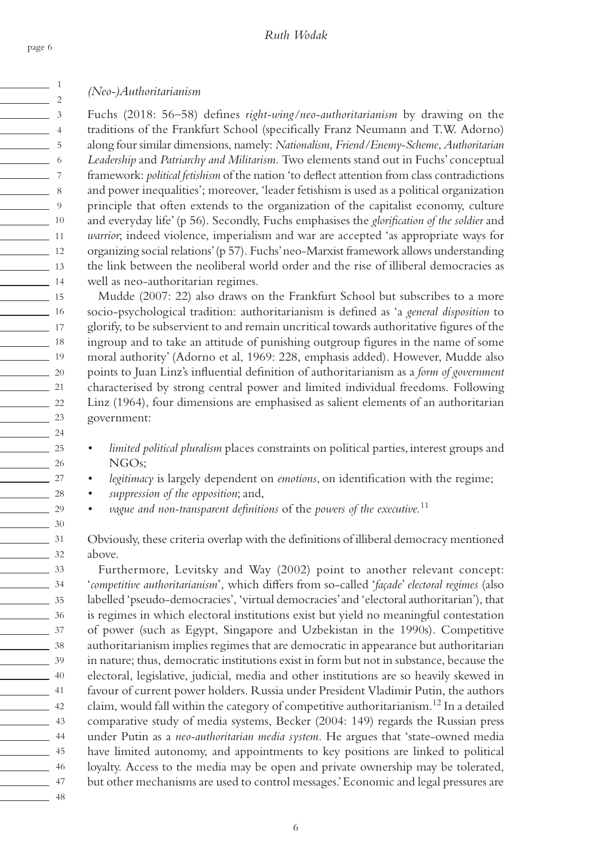*(Neo-)Authoritarianism*

Fuchs (2018: 56–58) defines *right-wing/neo-authoritarianism* by drawing on the traditions of the Frankfurt School (specifically Franz Neumann and T.W. Adorno) along four similar dimensions, namely: *Nationalism*, *Friend/Enemy-Scheme*, *Authoritarian Leadership* and *Patriarchy and Militarism*. Two elements stand out in Fuchs' conceptual framework: *political fetishism* of the nation 'to deflect attention from class contradictions and power inequalities'; moreover, 'leader fetishism is used as a political organization principle that often extends to the organization of the capitalist economy, culture and everyday life' (p 56). Secondly, Fuchs emphasises the *glorification of the soldier* and *warrior*; indeed violence, imperialism and war are accepted 'as appropriate ways for organizing social relations' (p 57). Fuchs' neo-Marxist framework allows understanding the link between the neoliberal world order and the rise of illiberal democracies as well as neo-authoritarian regimes.

Mudde (2007: 22) also draws on the Frankfurt School but subscribes to a more socio-psychological tradition: authoritarianism is defined as 'a *general disposition* to glorify, to be subservient to and remain uncritical towards authoritative figures of the ingroup and to take an attitude of punishing outgroup figures in the name of some moral authority' (Adorno et al, 1969: 228, emphasis added). However, Mudde also points to Juan Linz's influential definition of authoritarianism as a *form of government*  characterised by strong central power and limited individual freedoms. Following Linz (1964), four dimensions are emphasised as salient elements of an authoritarian government:

- *• limited political pluralism* places constraints on political parties, interest groups and NGOs;
- *• legitimacy* is largely dependent on *emotions*, on identification with the regime;
- *• suppression of the opposition*; and,
- *• vague and non-transparent definitions* of the *powers of the executive.*<sup>11</sup>

Obviously, these criteria overlap with the definitions of illiberal democracy mentioned above.

Furthermore, Levitsky and Way (2002) point to another relevant concept: '*competitive authoritarianism*', which differs from so-called '*façade*' *electoral regimes* (also labelled 'pseudo-democracies', 'virtual democracies' and 'electoral authoritarian'), that is regimes in which electoral institutions exist but yield no meaningful contestation of power (such as Egypt, Singapore and Uzbekistan in the 1990s). Competitive authoritarianism implies regimes that are democratic in appearance but authoritarian in nature; thus, democratic institutions exist in form but not in substance, because the electoral, legislative, judicial, media and other institutions are so heavily skewed in favour of current power holders. Russia under President Vladimir Putin, the authors claim, would fall within the category of competitive authoritarianism.12 In a detailed comparative study of media systems, Becker (2004: 149) regards the Russian press under Putin as a *neo-authoritarian media system*. He argues that 'state-owned media have limited autonomy, and appointments to key positions are linked to political loyalty. Access to the media may be open and private ownership may be tolerated, but other mechanisms are used to control messages.' Economic and legal pressures are

page 6

 $\frac{1}{1}$  $\sim$  2  $\frac{1}{3}$  $\sim$  4  $\sim$  5  $\frac{1}{\sqrt{1-\frac{1}{2}}}\quad 6$ 7  $\sim$  8  $\frac{9}{2}$  $\frac{10}{10}$  $\frac{1}{11}$  11  $\sim$  12 13  $\frac{14}{14}$  $\frac{1}{15}$  $\frac{1}{16}$  $\frac{1}{17}$ <u>18</u>  $\frac{1}{19}$  $\frac{20}{2}$  $21$  $\frac{22}{2}$  $\frac{23}{2}$  $\frac{24}{2}$  $\frac{25}{25}$  $\frac{26}{25}$  $\frac{27}{2}$  $\frac{28}{2}$  $\frac{29}{2}$  $\frac{30}{2}$  $\frac{31}{2}$  $\frac{32}{2}$  $\frac{33}{2}$  $\frac{34}{ }$ 35  $\frac{36}{2}$ 37  $\frac{38}{2}$  $\frac{39}{2}$ 40 41  $\frac{1}{2}$  42  $\frac{1}{43}$ 44 45 46 47 <u>2001 - Albert Albert III a</u>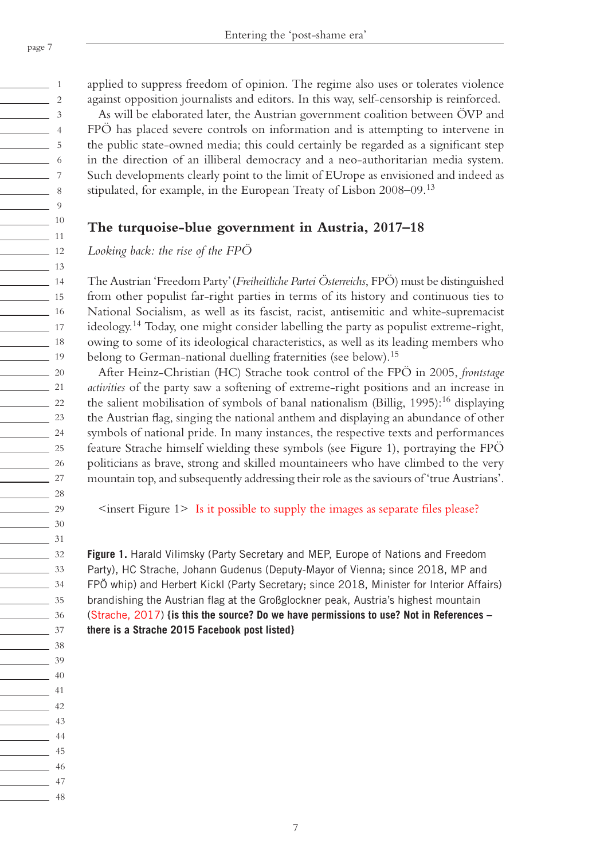$\frac{1}{\sqrt{1-\frac{1}{2}}}\quad 1$  $\sim$  2  $\sim$  3  $\sim$  4  $\frac{1}{\sqrt{2}}$  5  $\frac{1}{\sqrt{1-\frac{1}{2}}}\quad 6$  $\overline{\phantom{0}}$  7  $\sim$  8  $\frac{9}{2}$ 10  $\frac{1}{11}$  11  $\frac{1}{2}$  12 13 14  $\frac{1}{15}$  $\frac{16}{16}$ 17 <u>18</u>  $\frac{1}{19}$  $\frac{20}{2}$  $\sim$  21  $\frac{22}{2}$  $\frac{23}{2}$  $\frac{24}{2}$  $\frac{25}{25}$  $\frac{26}{25}$  $\sim$  27  $\frac{28}{2}$  $\frac{29}{2}$ 30  $\frac{31}{2}$  $\frac{32}{ }$  $\frac{33}{2}$ 34 35  $\frac{36}{2}$ 37  $\overline{\phantom{0}}$  38  $\frac{39}{2}$  $\frac{40}{2}$ 41  $\frac{42}{ }$  $\frac{1}{43}$  $\sim$  44 45  $\frac{1}{2}$  46 47  $\sim$  48 applied to suppress freedom of opinion. The regime also uses or tolerates violence against opposition journalists and editors. In this way, self-censorship is reinforced.

As will be elaborated later, the Austrian government coalition between ÖVP and FPÖ has placed severe controls on information and is attempting to intervene in the public state-owned media; this could certainly be regarded as a significant step in the direction of an illiberal democracy and a neo-authoritarian media system. Such developments clearly point to the limit of EUrope as envisioned and indeed as stipulated, for example, in the European Treaty of Lisbon 2008–09.<sup>13</sup>

# **The turquoise-blue government in Austria, 2017–18**

*Looking back: the rise of the FPÖ*

The Austrian 'Freedom Party' (*Freiheitliche Partei Österreichs*, FPÖ) must be distinguished from other populist far-right parties in terms of its history and continuous ties to National Socialism, as well as its fascist, racist, antisemitic and white-supremacist ideology.14 Today, one might consider labelling the party as populist extreme-right, owing to some of its ideological characteristics, as well as its leading members who belong to German-national duelling fraternities (see below).<sup>15</sup>

After Heinz-Christian (HC) Strache took control of the FPÖ in 2005, *frontstage activities* of the party saw a softening of extreme-right positions and an increase in the salient mobilisation of symbols of banal nationalism (Billig,  $1995$ ):<sup>16</sup> displaying the Austrian flag, singing the national anthem and displaying an abundance of other symbols of national pride. In many instances, the respective texts and performances feature Strache himself wielding these symbols (see Figure 1), portraying the FPÖ politicians as brave, strong and skilled mountaineers who have climbed to the very mountain top, and subsequently addressing their role as the saviours of 'true Austrians'.

<insert Figure 1> Is it possible to supply the images as separate files please?

**Figure 1.** Harald Vilimsky (Party Secretary and MEP, Europe of Nations and Freedom Party), HC Strache, Johann Gudenus (Deputy-Mayor of Vienna; since 2018, MP and FPÖ whip) and Herbert Kickl (Party Secretary; since 2018, Minister for Interior Affairs) brandishing the Austrian flag at the Großglockner peak, Austria's highest mountain (Strache, 2017) **{is this the source? Do we have permissions to use? Not in References – there is a Strache 2015 Facebook post listed}**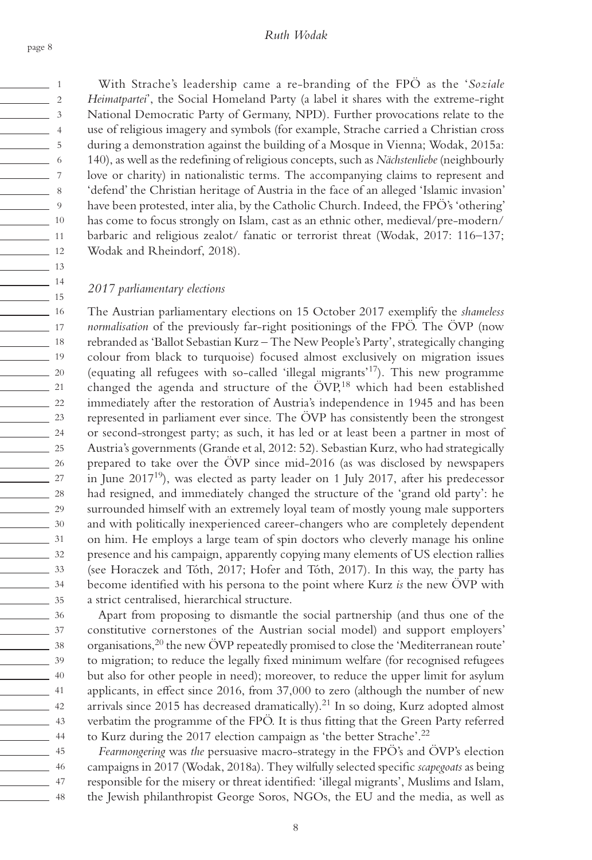$\frac{1}{\sqrt{1-\frac{1}{2}}}\quad 1$  $\sim$  2  $\frac{1}{3}$  $\frac{1}{4}$  $\sim$  5  $\frac{1}{\sqrt{1-\frac{1}{2}}}\quad 6$ 7  $\sim$  8  $\frac{1}{\sqrt{2}}$ 10  $\frac{1}{11}$  11  $\frac{12}{12}$ 13  $\frac{14}{14}$ 15  $\frac{16}{16}$ 17 <u>18</u>  $\frac{1}{19}$  $\frac{20}{2}$  $21$  $\frac{22}{2}$  $\frac{23}{2}$  $\frac{24}{2}$  $\frac{25}{25}$  $\frac{26}{25}$  $\sim$  27  $\frac{28}{2}$  $\frac{29}{2}$  $\frac{30}{2}$ 31  $\frac{32}{2}$  $\frac{33}{2}$ 34  $\frac{35}{2}$  $\frac{36}{2}$ 37  $\frac{38}{2}$  $\frac{39}{2}$ 40  $\sim$  41  $\frac{1}{2}$  42  $\frac{1}{43}$ 44 45 46  $\frac{1}{47}$ <u>2001 - Albert Albert III a</u>

With Strache's leadership came a re-branding of the FPÖ as the '*Soziale Heimatpartei*', the Social Homeland Party (a label it shares with the extreme-right National Democratic Party of Germany, NPD). Further provocations relate to the use of religious imagery and symbols (for example, Strache carried a Christian cross during a demonstration against the building of a Mosque in Vienna; Wodak, 2015a: 140), as well as the redefining of religious concepts, such as *Nächstenliebe* (neighbourly love or charity) in nationalistic terms. The accompanying claims to represent and 'defend' the Christian heritage of Austria in the face of an alleged 'Islamic invasion' have been protested, inter alia, by the Catholic Church. Indeed, the FPÖ's 'othering' has come to focus strongly on Islam, cast as an ethnic other, medieval/pre-modern/ barbaric and religious zealot/ fanatic or terrorist threat (Wodak, 2017: 116–137; Wodak and Rheindorf, 2018).

### *2017 parliamentary elections*

The Austrian parliamentary elections on 15 October 2017 exemplify the *shameless normalisation* of the previously far-right positionings of the FPÖ. The ÖVP (now rebranded as 'Ballot Sebastian Kurz – The New People's Party', strategically changing colour from black to turquoise) focused almost exclusively on migration issues (equating all refugees with so-called 'illegal migrants'17). This new programme changed the agenda and structure of the ÖVP,<sup>18</sup> which had been established immediately after the restoration of Austria's independence in 1945 and has been represented in parliament ever since. The ÖVP has consistently been the strongest or second-strongest party; as such, it has led or at least been a partner in most of Austria's governments (Grande et al, 2012: 52). Sebastian Kurz, who had strategically prepared to take over the ÖVP since mid-2016 (as was disclosed by newspapers in June 201719), was elected as party leader on 1 July 2017, after his predecessor had resigned, and immediately changed the structure of the 'grand old party': he surrounded himself with an extremely loyal team of mostly young male supporters and with politically inexperienced career-changers who are completely dependent on him. He employs a large team of spin doctors who cleverly manage his online presence and his campaign, apparently copying many elements of US election rallies (see Horaczek and Tóth, 2017; Hofer and Tóth, 2017). In this way, the party has become identified with his persona to the point where Kurz *is* the new ÖVP with a strict centralised, hierarchical structure.

Apart from proposing to dismantle the social partnership (and thus one of the constitutive cornerstones of the Austrian social model) and support employers' organisations,<sup>20</sup> the new ÖVP repeatedly promised to close the 'Mediterranean route' to migration; to reduce the legally fixed minimum welfare (for recognised refugees but also for other people in need); moreover, to reduce the upper limit for asylum applicants, in effect since 2016, from 37,000 to zero (although the number of new arrivals since  $2015$  has decreased dramatically).<sup>21</sup> In so doing, Kurz adopted almost verbatim the programme of the FPÖ. It is thus fitting that the Green Party referred to Kurz during the 2017 election campaign as 'the better Strache'.22

*Fearmongering* was *the* persuasive macro-strategy in the FPÖ's and ÖVP's election campaigns in 2017 (Wodak, 2018a). They wilfully selected specific *scapegoats* as being responsible for the misery or threat identified: 'illegal migrants', Muslims and Islam, the Jewish philanthropist George Soros, NGOs, the EU and the media, as well as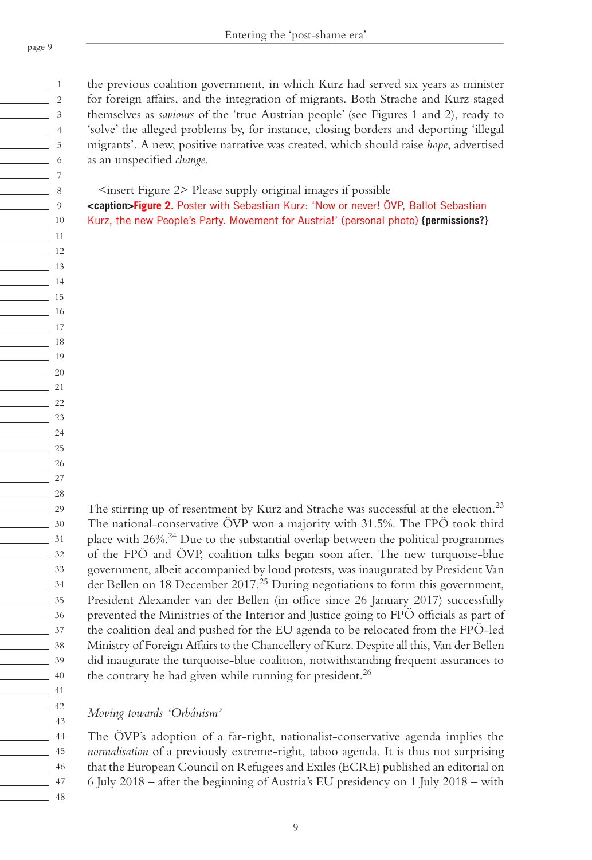$\sim$   $\sim$  1  $\sim$  2  $\sim$  3  $\sim$  4  $\frac{1}{\sqrt{2}}$  5  $\frac{1}{\sqrt{1-\frac{1}{2}}}\quad 6$  $\overline{\phantom{0}}$  7  $\sim$  8  $\frac{1}{\sqrt{2}}$  9 10  $\frac{1}{11}$  11  $\frac{12}{12}$ 13  $\frac{1}{14}$ 15  $\frac{16}{16}$ 17 18  $\frac{1}{19}$  $\frac{20}{2}$ 21  $\frac{22}{2}$  $\frac{23}{2}$  $\frac{24}{2}$  $\frac{25}{25}$ 26  $\frac{27}{27}$  $\frac{28}{2}$  $\frac{29}{2}$ 30  $\frac{31}{2}$  $\frac{32}{ }$ 33 34 35  $\frac{36}{2}$ 37  $\frac{1}{\sqrt{3}}$  38  $\frac{1}{\sqrt{3}}$  39  $\frac{40}{2}$ 41  $\frac{1}{2}$  42  $\overline{\phantom{1}}$  43  $\sim$  44 45  $\frac{1}{2}$  46 47

the previous coalition government, in which Kurz had served six years as minister for foreign affairs, and the integration of migrants. Both Strache and Kurz staged themselves as *saviours* of the 'true Austrian people' (see Figures 1 and 2), ready to 'solve' the alleged problems by, for instance, closing borders and deporting 'illegal migrants'. A new, positive narrative was created, which should raise *hope*, advertised as an unspecified *change*.

 $\leq$ insert Figure 2> Please supply original images if possible

**<caption>Figure 2.** Poster with Sebastian Kurz: 'Now or never! ÖVP, Ballot Sebastian Kurz, the new People's Party. Movement for Austria!' (personal photo) **{permissions?}**

The stirring up of resentment by Kurz and Strache was successful at the election.<sup>23</sup> The national-conservative ÖVP won a majority with 31.5%. The FPÖ took third place with 26%.24 Due to the substantial overlap between the political programmes of the FPÖ and ÖVP, coalition talks began soon after. The new turquoise-blue government, albeit accompanied by loud protests, was inaugurated by President Van der Bellen on 18 December 2017.25 During negotiations to form this government, President Alexander van der Bellen (in office since 26 January 2017) successfully prevented the Ministries of the Interior and Justice going to FPÖ officials as part of the coalition deal and pushed for the EU agenda to be relocated from the FPÖ-led Ministry of Foreign Affairs to the Chancellery of Kurz. Despite all this, Van der Bellen did inaugurate the turquoise-blue coalition, notwithstanding frequent assurances to the contrary he had given while running for president.<sup>26</sup>

*Moving towards 'Orbánism'*

The ÖVP's adoption of a far-right, nationalist-conservative agenda implies the *normalisation* of a previously extreme-right, taboo agenda. It is thus not surprising that the European Council on Refugees and Exiles (ECRE) published an editorial on 6 July 2018 – after the beginning of Austria's EU presidency on 1 July 2018 – with

 $\frac{1}{2}$  48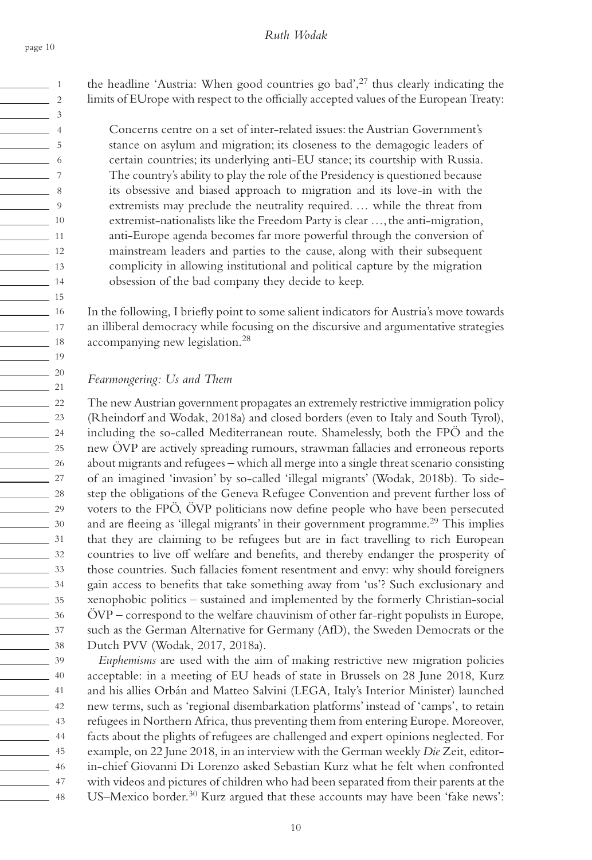$\sim$  1  $\sim$  2  $\sim$  3  $\frac{1}{2}$  4  $\sim$  5  $\sim$  6 7  $\sim$  8  $\frac{1}{\sqrt{2}}$  9 10  $\sim$  11  $\frac{1}{2}$  12 13  $\frac{1}{14}$  $\frac{1}{15}$  $\frac{16}{16}$ 17 <u>18</u>  $\frac{1}{19}$  $\frac{20}{2}$  $\frac{1}{21}$  $\frac{22}{2}$  $\frac{23}{2}$  $\frac{24}{2}$  $\frac{25}{25}$  $\frac{26}{25}$  $\sim$  27  $\frac{28}{2}$  $\frac{29}{2}$  $\frac{30}{2}$  $\frac{31}{2}$  $\frac{32}{2}$  $\frac{33}{2}$ 34  $\frac{35}{2}$  $\frac{36}{2}$ 37  $\frac{38}{2}$  $\frac{39}{2}$ 40 41  $\frac{1}{2}$  42  $\frac{43}{ }$ 44 45 <u>2001 - Abraham dia 46</u>  $\frac{1}{47}$  $\frac{1}{48}$  the headline 'Austria: When good countries go bad',<sup>27</sup> thus clearly indicating the limits of EUrope with respect to the officially accepted values of the European Treaty:

Concerns centre on a set of inter-related issues: the Austrian Government's stance on asylum and migration; its closeness to the demagogic leaders of certain countries; its underlying anti-EU stance; its courtship with Russia. The country's ability to play the role of the Presidency is questioned because its obsessive and biased approach to migration and its love-in with the extremists may preclude the neutrality required. … while the threat from extremist-nationalists like the Freedom Party is clear …, the anti-migration, anti-Europe agenda becomes far more powerful through the conversion of mainstream leaders and parties to the cause, along with their subsequent complicity in allowing institutional and political capture by the migration obsession of the bad company they decide to keep.

In the following, I briefly point to some salient indicators for Austria's move towards an illiberal democracy while focusing on the discursive and argumentative strategies accompanying new legislation.28

### *Fearmongering: Us and Them*

The new Austrian government propagates an extremely restrictive immigration policy (Rheindorf and Wodak, 2018a) and closed borders (even to Italy and South Tyrol), including the so-called Mediterranean route. Shamelessly, both the FPÖ and the new ÖVP are actively spreading rumours, strawman fallacies and erroneous reports about migrants and refugees – which all merge into a single threat scenario consisting of an imagined 'invasion' by so-called 'illegal migrants' (Wodak, 2018b). To sidestep the obligations of the Geneva Refugee Convention and prevent further loss of voters to the FPÖ, ÖVP politicians now define people who have been persecuted and are fleeing as 'illegal migrants' in their government programme.<sup>29</sup> This implies that they are claiming to be refugees but are in fact travelling to rich European countries to live off welfare and benefits, and thereby endanger the prosperity of those countries. Such fallacies foment resentment and envy: why should foreigners gain access to benefits that take something away from 'us'? Such exclusionary and xenophobic politics – sustained and implemented by the formerly Christian-social ÖVP – correspond to the welfare chauvinism of other far-right populists in Europe, such as the German Alternative for Germany (AfD), the Sweden Democrats or the Dutch PVV (Wodak, 2017, 2018a).

*Euphemisms* are used with the aim of making restrictive new migration policies acceptable: in a meeting of EU heads of state in Brussels on 28 June 2018, Kurz and his allies Orbán and Matteo Salvini (LEGA, Italy's Interior Minister) launched new terms, such as 'regional disembarkation platforms' instead of 'camps', to retain refugees in Northern Africa, thus preventing them from entering Europe. Moreover, facts about the plights of refugees are challenged and expert opinions neglected. For example, on 22 June 2018, in an interview with the German weekly *Die* Zeit, editorin-chief Giovanni Di Lorenzo asked Sebastian Kurz what he felt when confronted with videos and pictures of children who had been separated from their parents at the US–Mexico border.<sup>30</sup> Kurz argued that these accounts may have been 'fake news':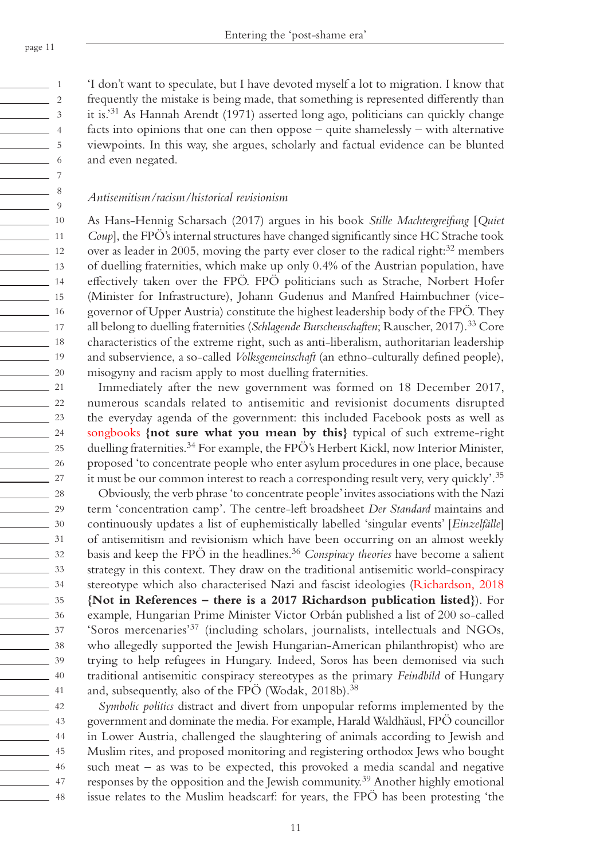$\frac{1}{\sqrt{1-\frac{1}{2}}}\quad 1$  $\sim$  2  $\sim$  3  $\frac{1}{4}$  $\sim$  5  $\frac{1}{\sqrt{1-\frac{1}{2}}}\quad 6$ 7  $\sim$  8  $\frac{1}{\sqrt{2}}$ 10  $\frac{1}{11}$  $\frac{12}{12}$ 13 14 15  $\frac{16}{16}$ 17 <u>18</u> 19  $\frac{20}{2}$  $21$  $\frac{22}{2}$  $\frac{23}{2}$  $\frac{24}{2}$  $\frac{25}{25}$  $\frac{26}{25}$  $\sim$  27  $\frac{28}{2}$  $\frac{29}{2}$ 30 31  $\frac{32}{ }$  $\frac{33}{2}$ 34  $\frac{35}{2}$  $\frac{36}{2}$ 37  $\frac{1}{38}$  $\frac{39}{2}$ 40  $\sim$  41  $\frac{1}{42}$  $\frac{43}{ }$ 44  $\frac{45}{1}$ <u>2001 16</u> 47  $\frac{1}{48}$ 

'I don't want to speculate, but I have devoted myself a lot to migration. I know that frequently the mistake is being made, that something is represented differently than it is.'31 As Hannah Arendt (1971) asserted long ago, politicians can quickly change facts into opinions that one can then oppose – quite shamelessly – with alternative viewpoints. In this way, she argues, scholarly and factual evidence can be blunted and even negated.

### *Antisemitism/racism/historical revisionism*

As Hans-Hennig Scharsach (2017) argues in his book *Stille Machtergreifung* [*Quiet Coup*], the FPÖ's internal structures have changed significantly since HC Strache took over as leader in 2005, moving the party ever closer to the radical right: $32$  members of duelling fraternities, which make up only 0.4% of the Austrian population, have effectively taken over the FPÖ. FPÖ politicians such as Strache, Norbert Hofer (Minister for Infrastructure), Johann Gudenus and Manfred Haimbuchner (vicegovernor of Upper Austria) constitute the highest leadership body of the FPÖ. They all belong to duelling fraternities (*Schlagende Burschenschaften*; Rauscher, 2017).33 Core characteristics of the extreme right, such as anti-liberalism, authoritarian leadership and subservience, a so-called *Volksgemeinschaft* (an ethno-culturally defined people), misogyny and racism apply to most duelling fraternities.

Immediately after the new government was formed on 18 December 2017, numerous scandals related to antisemitic and revisionist documents disrupted the everyday agenda of the government: this included Facebook posts as well as songbooks **{not sure what you mean by this}** typical of such extreme-right duelling fraternities.<sup>34</sup> For example, the FPÖ's Herbert Kickl, now Interior Minister, proposed 'to concentrate people who enter asylum procedures in one place, because it must be our common interest to reach a corresponding result very, very quickly'.35

Obviously, the verb phrase 'to concentrate people' invites associations with the Nazi term 'concentration camp'. The centre-left broadsheet *Der Standard* maintains and continuously updates a list of euphemistically labelled 'singular events' [*Einzelfälle*] of antisemitism and revisionism which have been occurring on an almost weekly basis and keep the FPÖ in the headlines.36 *Conspiracy theories* have become a salient strategy in this context. They draw on the traditional antisemitic world-conspiracy stereotype which also characterised Nazi and fascist ideologies (Richardson, 2018 **{Not in References – there is a 2017 Richardson publication listed}**). For example, Hungarian Prime Minister Victor Orbán published a list of 200 so-called 'Soros mercenaries'37 (including scholars, journalists, intellectuals and NGOs, who allegedly supported the Jewish Hungarian-American philanthropist) who are trying to help refugees in Hungary. Indeed, Soros has been demonised via such traditional antisemitic conspiracy stereotypes as the primary *Feindbild* of Hungary and, subsequently, also of the FPÖ (Wodak, 2018b).<sup>38</sup>

*Symbolic politics* distract and divert from unpopular reforms implemented by the government and dominate the media. For example, Harald Waldhäusl, FPÖ councillor in Lower Austria, challenged the slaughtering of animals according to Jewish and Muslim rites, and proposed monitoring and registering orthodox Jews who bought such meat – as was to be expected, this provoked a media scandal and negative responses by the opposition and the Jewish community.39 Another highly emotional issue relates to the Muslim headscarf: for years, the FPÖ has been protesting 'the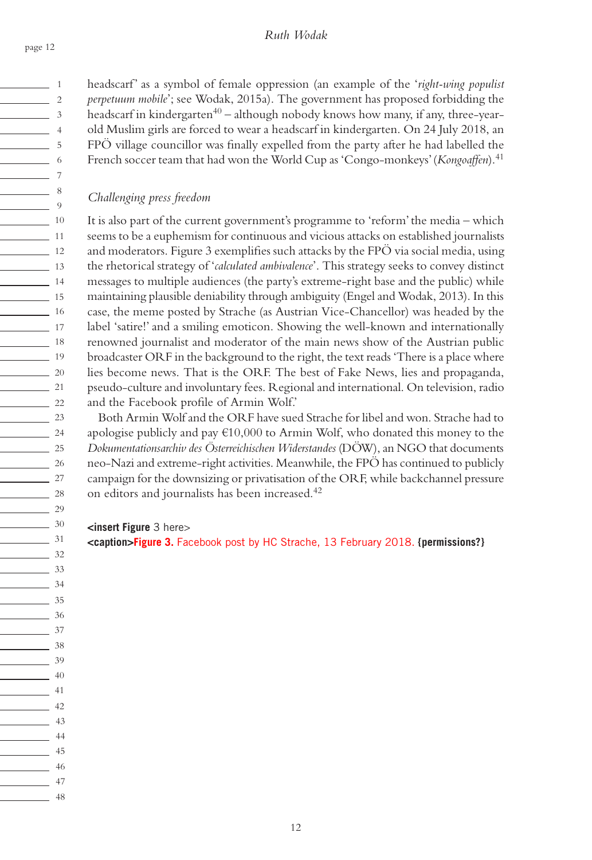headscarf' as a symbol of female oppression (an example of the '*right-wing populist perpetuum mobile*'; see Wodak, 2015a). The government has proposed forbidding the headscarf in kindergarten $40 -$ although nobody knows how many, if any, three-yearold Muslim girls are forced to wear a headscarf in kindergarten. On 24 July 2018, an FPÖ village councillor was finally expelled from the party after he had labelled the French soccer team that had won the World Cup as 'Congo-monkeys' (*Kongoaffen*).41

# *Challenging press freedom*

It is also part of the current government's programme to 'reform' the media – which seems to be a euphemism for continuous and vicious attacks on established journalists and moderators. Figure 3 exemplifies such attacks by the FPÖ via social media, using the rhetorical strategy of '*calculated ambivalence*'. This strategy seeks to convey distinct messages to multiple audiences (the party's extreme-right base and the public) while maintaining plausible deniability through ambiguity (Engel and Wodak, 2013). In this case, the meme posted by Strache (as Austrian Vice-Chancellor) was headed by the label 'satire!' and a smiling emoticon. Showing the well-known and internationally renowned journalist and moderator of the main news show of the Austrian public broadcaster ORF in the background to the right, the text reads 'There is a place where lies become news. That is the ORF. The best of Fake News, lies and propaganda, pseudo-culture and involuntary fees. Regional and international. On television, radio and the Facebook profile of Armin Wolf.'

Both Armin Wolf and the ORF have sued Strache for libel and won. Strache had to apologise publicly and pay  $\epsilon$ 10,000 to Armin Wolf, who donated this money to the *Dokumentationsarchiv des Österreichischen Widerstandes* (DÖW), an NGO that documents neo-Nazi and extreme-right activities. Meanwhile, the FPÖ has continued to publicly campaign for the downsizing or privatisation of the ORF, while backchannel pressure on editors and journalists has been increased.42

### **<insert Figure** 3 here>

**<caption>Figure 3.** Facebook post by HC Strache, 13 February 2018. **{permissions?}**

page 12

 $\frac{1}{\sqrt{1-\frac{1}{2}}}\quad 1$  $\sim$  2  $\frac{1}{3}$  $\frac{1}{4}$  $\sim$  5  $\sim$  6 7  $\sim$  8  $\frac{9}{2}$ 10  $\sim$  11  $\frac{1}{2}$  12 13  $\overline{\phantom{a}}$  14  $\frac{1}{15}$  $\frac{16}{16}$ 17 <u>18</u>  $\frac{1}{19}$  $\frac{20}{20}$  $\frac{21}{2}$  $\frac{22}{2}$  $\frac{23}{2}$  $\frac{24}{2}$  $\frac{25}{25}$  $\frac{26}{25}$  $\sim$  27  $\frac{28}{2}$  $\frac{29}{2}$  $\frac{30}{2}$ 31  $\frac{32}{2}$  $\frac{33}{2}$ 34 35  $\frac{36}{2}$ 37 <u>2001 - 38</u>  $\frac{39}{2}$  $\frac{40}{2}$  $\frac{41}{2}$  $\frac{1}{42}$  $\frac{1}{43}$  $\sim$  44 <u>45</u> <u>2001 16</u> 47  $\sim$  48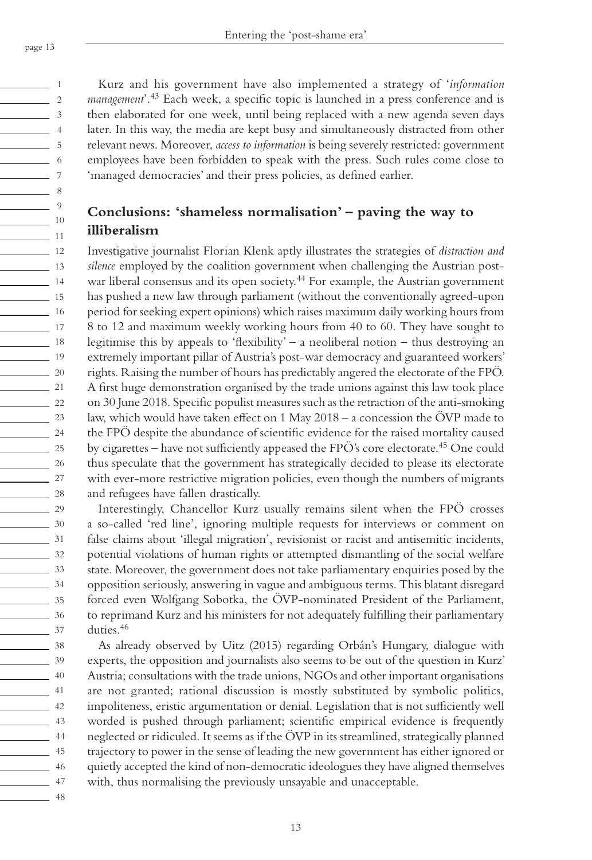$\frac{1}{1}$  1  $\sim$  2  $\sim$  3  $\sim$  4  $\sim$  5  $\frac{1}{\sqrt{1-\frac{1}{2}}}\quad 6$ 7  $\sim$  8  $\frac{9}{2}$ 10  $\frac{1}{11}$  $\frac{1}{2}$  12 13  $\frac{14}{14}$ 15  $\frac{1}{16}$  $\frac{1}{\sqrt{1-\frac{1}{2}}}\frac{1}{\sqrt{1-\frac{1}{2}}}\frac{1}{\sqrt{1-\frac{1}{2}}}\frac{1}{\sqrt{1-\frac{1}{2}}}\frac{1}{\sqrt{1-\frac{1}{2}}}\frac{1}{\sqrt{1-\frac{1}{2}}}\frac{1}{\sqrt{1-\frac{1}{2}}}\frac{1}{\sqrt{1-\frac{1}{2}}}\frac{1}{\sqrt{1-\frac{1}{2}}}\frac{1}{\sqrt{1-\frac{1}{2}}}\frac{1}{\sqrt{1-\frac{1}{2}}}\frac{1}{\sqrt{1-\frac{1}{2}}}\frac{1}{\sqrt{1-\frac{1}{2}}}\frac{1}{\sqrt{1-\frac{$ <u>18</u>  $\frac{1}{19}$  $\frac{20}{2}$  $\sim$  21  $\frac{22}{2}$  $\frac{23}{2}$  $\frac{24}{2}$  $\frac{25}{25}$  $\frac{26}{25}$  $\sim$  27  $\frac{28}{2}$  $\frac{29}{2}$ 30 31  $\frac{32}{ }$  $\frac{33}{2}$ 34 35  $\frac{36}{2}$  $\frac{37}{2}$  $\frac{38}{2}$  $\frac{39}{2}$  $\frac{40}{2}$ 41  $\frac{42}{ }$  $\frac{43}{ }$ 44 <u>45</u> 46 47

Kurz and his government have also implemented a strategy of '*information management*'.43 Each week, a specific topic is launched in a press conference and is then elaborated for one week, until being replaced with a new agenda seven days later. In this way, the media are kept busy and simultaneously distracted from other relevant news. Moreover, *access to information* is being severely restricted: government employees have been forbidden to speak with the press. Such rules come close to 'managed democracies' and their press policies, as defined earlier.

# **Conclusions: 'shameless normalisation' – paving the way to illiberalism**

Investigative journalist Florian Klenk aptly illustrates the strategies of *distraction and silence* employed by the coalition government when challenging the Austrian postwar liberal consensus and its open society.<sup>44</sup> For example, the Austrian government has pushed a new law through parliament (without the conventionally agreed-upon period for seeking expert opinions) which raises maximum daily working hours from 8 to 12 and maximum weekly working hours from 40 to 60. They have sought to legitimise this by appeals to 'flexibility' – a neoliberal notion – thus destroying an extremely important pillar of Austria's post-war democracy and guaranteed workers' rights. Raising the number of hours has predictably angered the electorate of the FPÖ. A first huge demonstration organised by the trade unions against this law took place on 30 June 2018. Specific populist measures such as the retraction of the anti-smoking law, which would have taken effect on 1 May 2018 – a concession the ÖVP made to the FPÖ despite the abundance of scientific evidence for the raised mortality caused by cigarettes – have not sufficiently appeased the FPÖ's core electorate.45 One could thus speculate that the government has strategically decided to please its electorate with ever-more restrictive migration policies, even though the numbers of migrants and refugees have fallen drastically.

Interestingly, Chancellor Kurz usually remains silent when the FPÖ crosses a so-called 'red line', ignoring multiple requests for interviews or comment on false claims about 'illegal migration', revisionist or racist and antisemitic incidents, potential violations of human rights or attempted dismantling of the social welfare state. Moreover, the government does not take parliamentary enquiries posed by the opposition seriously, answering in vague and ambiguous terms. This blatant disregard forced even Wolfgang Sobotka, the ÖVP-nominated President of the Parliament, to reprimand Kurz and his ministers for not adequately fulfilling their parliamentary duties.<sup>46</sup>

As already observed by Uitz (2015) regarding Orbán's Hungary, dialogue with experts, the opposition and journalists also seems to be out of the question in Kurz' Austria; consultations with the trade unions, NGOs and other important organisations are not granted; rational discussion is mostly substituted by symbolic politics, impoliteness, eristic argumentation or denial. Legislation that is not sufficiently well worded is pushed through parliament; scientific empirical evidence is frequently neglected or ridiculed. It seems as if the ÖVP in its streamlined, strategically planned trajectory to power in the sense of leading the new government has either ignored or quietly accepted the kind of non-democratic ideologues they have aligned themselves with, thus normalising the previously unsayable and unacceptable.

<u>48</u>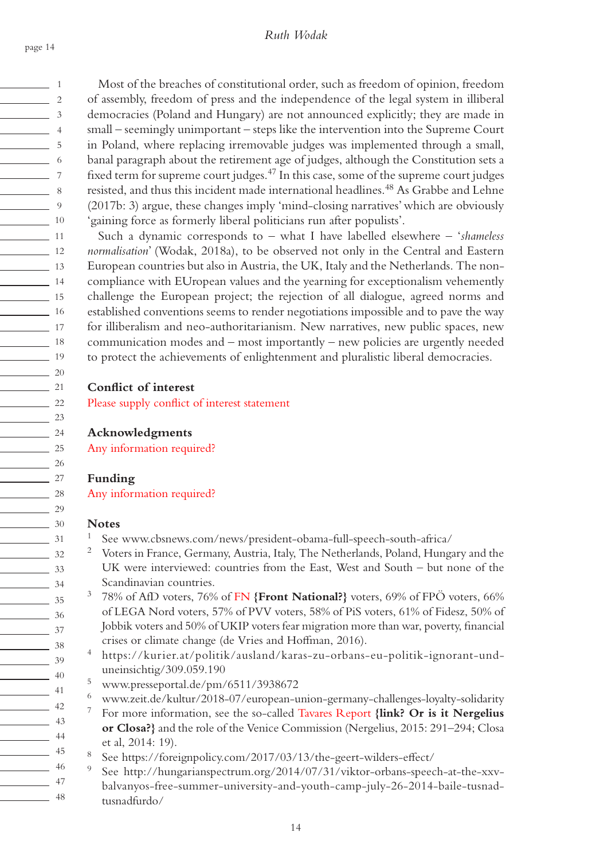$\frac{1}{\sqrt{1-\frac{1}{2}}}\quad 1$  $\sim$  2  $\frac{1}{3}$  $\sim$  4  $\sim$  5  $\frac{1}{\sqrt{1-\frac{1}{2}}}\quad 6$ 7  $\sim$  8  $\frac{1}{\sqrt{2}}$  9 10  $\sim$  11  $\frac{1}{2}$  12 13  $\frac{1}{14}$  $\frac{1}{15}$  $\frac{16}{16}$ 17 <u>18</u>  $\frac{1}{19}$  $\frac{20}{2}$  $21$  $\frac{22}{2}$  $\frac{23}{2}$  $\frac{24}{2}$  $\frac{25}{25}$  $\frac{26}{25}$  $\frac{27}{2}$  $\frac{28}{2}$  $\frac{29}{2}$ 30  $\frac{31}{2}$  $\frac{32}{2}$  $\frac{33}{2}$ 34  $\frac{35}{2}$  $\frac{36}{2}$ 37  $\frac{38}{2}$  $\frac{39}{2}$ 40 41  $\frac{1}{2}$  42  $\frac{1}{43}$ 44 45 <u>46</u> 47  $\frac{1}{48}$ 

Most of the breaches of constitutional order, such as freedom of opinion, freedom of assembly, freedom of press and the independence of the legal system in illiberal democracies (Poland and Hungary) are not announced explicitly; they are made in small – seemingly unimportant – steps like the intervention into the Supreme Court in Poland, where replacing irremovable judges was implemented through a small, banal paragraph about the retirement age of judges, although the Constitution sets a fixed term for supreme court judges.<sup>47</sup> In this case, some of the supreme court judges resisted, and thus this incident made international headlines.<sup>48</sup> As Grabbe and Lehne (2017b: 3) argue, these changes imply 'mind-closing narratives' which are obviously 'gaining force as formerly liberal politicians run after populists'.

Such a dynamic corresponds to – what I have labelled elsewhere – '*shameless normalisation*' (Wodak, 2018a), to be observed not only in the Central and Eastern European countries but also in Austria, the UK, Italy and the Netherlands. The noncompliance with EUropean values and the yearning for exceptionalism vehemently challenge the European project; the rejection of all dialogue, agreed norms and established conventions seems to render negotiations impossible and to pave the way for illiberalism and neo-authoritarianism. New narratives, new public spaces, new communication modes and – most importantly – new policies are urgently needed to protect the achievements of enlightenment and pluralistic liberal democracies.

### **Conflict of interest**

Please supply conflict of interest statement

# **Acknowledgments**

Any information required?

### **Funding**

Any information required?

#### **Notes**

- See www.cbsnews.com/news/president-obama-full-speech-south-africa/
	- <sup>2</sup> Voters in France, Germany, Austria, Italy, The Netherlands, Poland, Hungary and the UK were interviewed: countries from the East, West and South – but none of the Scandinavian countries.
- 3 78% of AfD voters, 76% of FN **{Front National?}** voters, 69% of FPÖ voters, 66% of LEGA Nord voters, 57% of PVV voters, 58% of PiS voters, 61% of Fidesz, 50% of Jobbik voters and 50% of UKIP voters fear migration more than war, poverty, financial crises or climate change (de Vries and Hoffman, 2016).
- 4 https://kurier.at/politik/ausland/karas-zu-orbans-eu-politik-ignorant-unduneinsichtig/309.059.190
- 5 www.presseportal.de/pm/6511/3938672
- 6 www.zeit.de/kultur/2018-07/european-union-germany-challenges-loyalty-solidarity
- 7 For more information, see the so-called Tavares Report **{link? Or is it Nergelius or Closa?}** and the role of the Venice Commission (Nergelius, 2015: 291–294; Closa et al, 2014: 19).
- See https://foreignpolicy.com/2017/03/13/the-geert-wilders-effect/
- 9 See http://hungarianspectrum.org/2014/07/31/viktor-orbans-speech-at-the-xxv-
- balvanyos-free-summer-university-and-youth-camp-july-26-2014-baile-tusnadtusnadfurdo/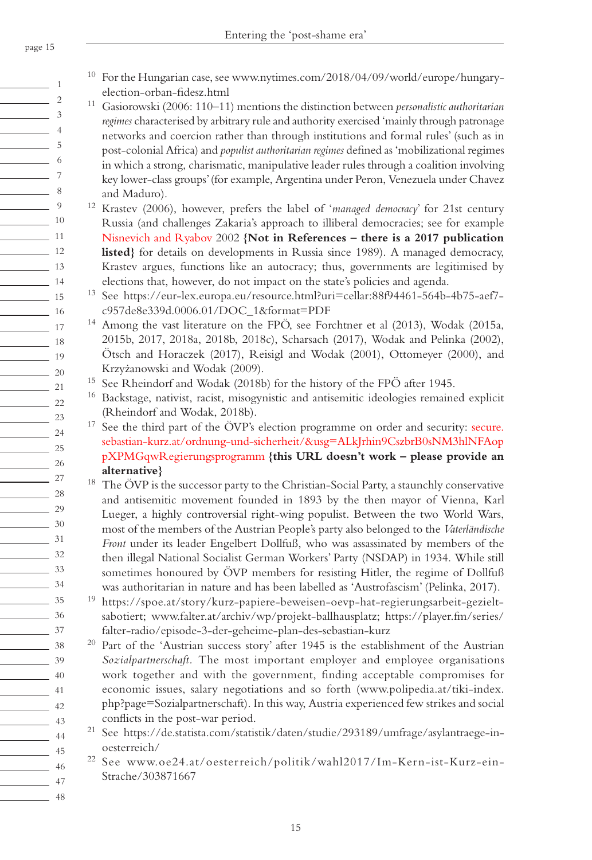6 7

9

 $-5$ 8 10 11  $\frac{12}{2}$ 13  $\sim$  14 15  $\sim$  16  $\frac{17}{2}$  $\frac{18}{18}$ 19  $\frac{20}{2}$ 21  $\frac{22}{2}$  $\frac{23}{2}$ 24  $\frac{25}{25}$  $\frac{26}{2}$  $\sim$  27 <u>28</u>  $\frac{29}{2}$ 30 31  $\frac{32}{2}$  $\frac{33}{2}$ 34  $\frac{35}{2}$ 36 37  $-$  38  $\frac{39}{2}$  $\frac{40}{2}$ 41  $\frac{42}{ }$  $\frac{1}{43}$ 44 45 46 47 48 <sup>10</sup> For the Hungarian case, see www.nytimes.com/2018/04/09/world/europe/hungaryelection-orban-fidesz.html

- 11 Gasiorowski (2006: 110–11) mentions the distinction between *personalistic authoritarian regimes* characterised by arbitrary rule and authority exercised 'mainly through patronage networks and coercion rather than through institutions and formal rules' (such as in post-colonial Africa) and *populist authoritarian regimes* defined as 'mobilizational regimes in which a strong, charismatic, manipulative leader rules through a coalition involving key lower-class groups' (for example, Argentina under Peron, Venezuela under Chavez and Maduro).
- 12 Krastev (2006), however, prefers the label of '*managed democracy*' for 21st century Russia (and challenges Zakaria's approach to illiberal democracies; see for example Nisnevich and Ryabov 2002 **{Not in References – there is a 2017 publication listed}** for details on developments in Russia since 1989). A managed democracy, Krastev argues, functions like an autocracy; thus, governments are legitimised by elections that, however, do not impact on the state's policies and agenda.
- 13 See https://eur-lex.europa.eu/resource.html?uri=cellar:88f94461-564b-4b75-aef7 c957de8e339d.0006.01/DOC\_1&format=PDF
- <sup>14</sup> Among the vast literature on the FPÖ, see Forchtner et al (2013), Wodak (2015a, 2015b, 2017, 2018a, 2018b, 2018c), Scharsach (2017), Wodak and Pelinka (2002), Ötsch and Horaczek (2017), Reisigl and Wodak (2001), Ottomeyer (2000), and Krzyżanowski and Wodak (2009).
- <sup>15</sup> See Rheindorf and Wodak (2018b) for the history of the FPÖ after 1945.
- <sup>16</sup> Backstage, nativist, racist, misogynistic and antisemitic ideologies remained explicit (Rheindorf and Wodak, 2018b).
- $17$  See the third part of the ÖVP's election programme on order and security: secure. sebastian-kurz.at/ordnung-und-sicherheit/&usg=ALkJrhin9CszbrB0sNM3hlNFAop pXPMGqwRegierungsprogramm **{this URL doesn't work – please provide an alternative}**
- $18$  The ÖVP is the successor party to the Christian-Social Party, a staunchly conservative and antisemitic movement founded in 1893 by the then mayor of Vienna, Karl Lueger, a highly controversial right-wing populist. Between the two World Wars, most of the members of the Austrian People's party also belonged to the *Vaterländische Front* under its leader Engelbert Dollfuß, who was assassinated by members of the then illegal National Socialist German Workers' Party (NSDAP) in 1934. While still sometimes honoured by ÖVP members for resisting Hitler, the regime of Dollfuß was authoritarian in nature and has been labelled as 'Austrofascism' (Pelinka, 2017).
- 19 https://spoe.at/story/kurz-papiere-beweisen-oevp-hat-regierungsarbeit-gezieltsabotiert; www.falter.at/archiv/wp/projekt-ballhausplatz; https://player.fm/series/ falter-radio/episode-3-der-geheime-plan-des-sebastian-kurz
- $20$  Part of the 'Austrian success story' after 1945 is the establishment of the Austrian *Sozialpartnerschaft.* The most important employer and employee organisations work together and with the government, finding acceptable compromises for economic issues, salary negotiations and so forth (www.polipedia.at/tiki-index. php?page=Sozialpartnerschaft). In this way, Austria experienced few strikes and social conflicts in the post-war period.
- 21 See https://de.statista.com/statistik/daten/studie/293189/umfrage/asylantraege-inoesterreich/
- 22 See www.oe24.at/oesterreich/politik/wahl2017/Im-Kern-ist-Kurz-ein-Strache/303871667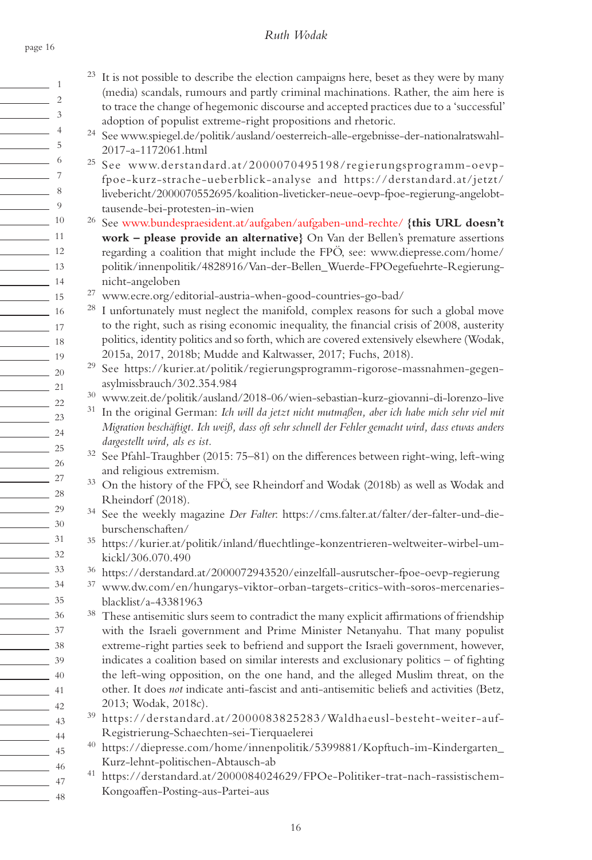1  $\sim$  2  $\sim$  3  $\sim$  4  $\frac{1}{\sqrt{2}}$  5  $\sim$  6 7  $\sim$  8  $\frac{9}{9}$ 10  $\frac{1}{11}$  11  $\frac{12}{12}$ 13  $\frac{1}{14}$  $\frac{1}{15}$  $\frac{16}{16}$  $\frac{1}{17}$  $\frac{18}{18}$  $\frac{1}{19}$  $\sim$  20 21  $\frac{22}{2}$  $\frac{23}{2}$  $\frac{24}{2}$  $\frac{25}{25}$  $\frac{26}{2}$ 27  $\frac{28}{2}$  $\frac{29}{2}$  $\frac{30}{2}$ 31  $\frac{32}{ }$  $\frac{33}{2}$  $\frac{34}{ }$ 35  $\frac{36}{2}$  $\frac{37}{2}$  $\frac{1}{\sqrt{3}}$  38  $\frac{39}{2}$  $\frac{40}{2}$  $\sim$  41  $\frac{1}{2}$  42  $\frac{1}{43}$  $\sim$  44 <u>45</u> 46 47

 $\frac{1}{2}$  48

page 16

## *Ruth Wodak*

- $23$  It is not possible to describe the election campaigns here, beset as they were by many (media) scandals, rumours and partly criminal machinations. Rather, the aim here is to trace the change of hegemonic discourse and accepted practices due to a 'successful' adoption of populist extreme-right propositions and rhetoric. 24 See www.spiegel.de/politik/ausland/oesterreich-alle-ergebnisse-der-nationalratswahl-2017-a-1172061.html 25 See www.derstandard.at/2000070495198/regierungsprogramm-oevpfpoe-kurz-strache-ueberblick-analyse and https://derstandard.at/jetzt/ livebericht/2000070552695/koalition-liveticker-neue-oevp-fpoe-regierung-angelobttausende-bei-protesten-in-wien 26 See www.bundespraesident.at/aufgaben/aufgaben-und-rechte/ **{this URL doesn't work – please provide an alternative}** On Van der Bellen's premature assertions regarding a coalition that might include the FPÖ, see: www.diepresse.com/home/ politik/innenpolitik/4828916/Van-der-Bellen\_Wuerde-FPOegefuehrte-Regierungnicht-angeloben 27 www.ecre.org/editorial-austria-when-good-countries-go-bad/ <sup>28</sup> I unfortunately must neglect the manifold, complex reasons for such a global move to the right, such as rising economic inequality, the financial crisis of 2008, austerity politics, identity politics and so forth, which are covered extensively elsewhere (Wodak, 2015a, 2017, 2018b; Mudde and Kaltwasser, 2017; Fuchs, 2018). 29 See https://kurier.at/politik/regierungsprogramm-rigorose-massnahmen-gegenasylmissbrauch/302.354.984 30 www.zeit.de/politik/ausland/2018-06/wien-sebastian-kurz-giovanni-di-lorenzo-live 31 In the original German: *Ich will da jetzt nicht mutmaßen, aber ich habe mich sehr viel mit Migration beschäftigt. Ich weiß, dass oft sehr schnell der Fehler gemacht wird, dass etwas anders dargestellt wird, als es ist.* 32 See Pfahl-Traughber (2015: 75–81) on the differences between right-wing, left-wing and religious extremism. 33 On the history of the FPÖ, see Rheindorf and Wodak (2018b) as well as Wodak and Rheindorf (2018). 34 See the weekly magazine *Der Falter*: https://cms.falter.at/falter/der-falter-und-dieburschenschaften/ 35 https://kurier.at/politik/inland/fluechtlinge-konzentrieren-weltweiter-wirbel-umkickl/306.070.490 36 https://derstandard.at/2000072943520/einzelfall-ausrutscher-fpoe-oevp-regierung 37 www.dw.com/en/hungarys-viktor-orban-targets-critics-with-soros-mercenariesblacklist/a-43381963 <sup>38</sup> These antisemitic slurs seem to contradict the many explicit affirmations of friendship with the Israeli government and Prime Minister Netanyahu. That many populist
- extreme-right parties seek to befriend and support the Israeli government, however, indicates a coalition based on similar interests and exclusionary politics – of fighting the left-wing opposition, on the one hand, and the alleged Muslim threat, on the other. It does *not* indicate anti-fascist and anti-antisemitic beliefs and activities (Betz, 2013; Wodak, 2018c).
- 39 https://derstandard.at/2000083825283/Waldhaeusl-besteht-weiter-auf-Registrierung-Schaechten-sei-Tierquaelerei
- 40 https://diepresse.com/home/innenpolitik/5399881/Kopftuch-im-Kindergarten\_ Kurz-lehnt-politischen-Abtausch-ab
- 41 https://derstandard.at/2000084024629/FPOe-Politiker-trat-nach-rassistischem-Kongoaffen-Posting-aus-Partei-aus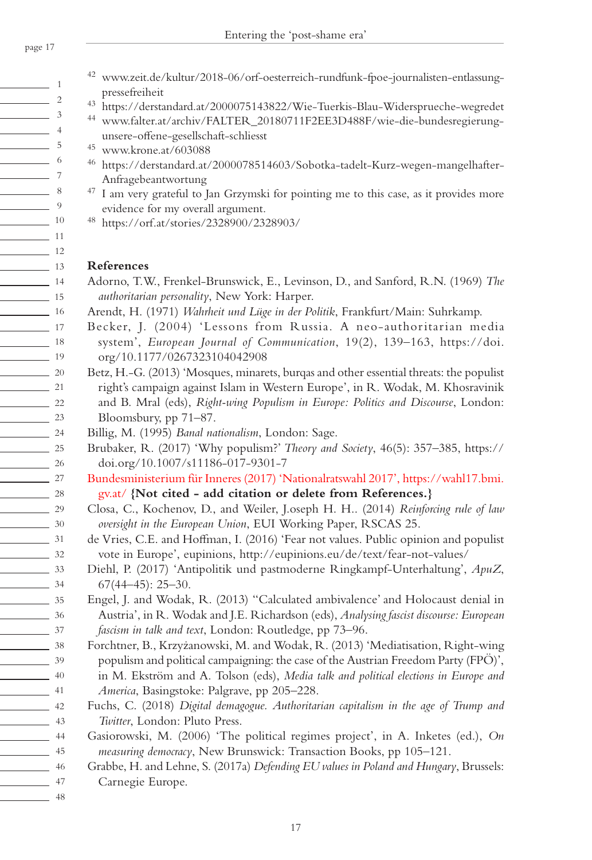- $\sim$  1  $\sim$  2  $\frac{1}{3}$  $\frac{1}{4}$  $\sim$  5  $\frac{1}{\sqrt{1-\frac{1}{2}}}\quad 6$  $-7$  $\sim$  8  $\frac{9}{2}$ 10 11  $\frac{12}{12}$ 13 14 15  $\frac{16}{16}$ 17 <u>18</u> 19  $\sim$  20  $\sim$  21  $\frac{22}{2}$  $\frac{23}{2}$  $\frac{24}{2}$  $\frac{25}{25}$  $\frac{26}{25}$  $\frac{27}{27}$  $\frac{28}{2}$  $\frac{29}{2}$ 30 31  $\frac{32}{2}$  $\frac{33}{2}$  $\frac{34}{ }$ 35  $\frac{36}{2}$ 37  $\frac{1}{\sqrt{3}}$  38  $\frac{39}{2}$  $\frac{40}{2}$  $\sim$  41  $\frac{42}{ }$  $\frac{43}{ }$ 44  $\frac{45}{2}$
- 42 www.zeit.de/kultur/2018-06/orf-oesterreich-rundfunk-fpoe-journalisten-entlassungpressefreiheit
- 43 https://derstandard.at/2000075143822/Wie-Tuerkis-Blau-Widersprueche-wegredet
- 44 www.falter.at/archiv/FALTER\_20180711F2EE3D488F/wie-die-bundesregierungunsere-offene-gesellschaft-schliesst
	- 45 www.krone.at/603088
	- 46 https://derstandard.at/2000078514603/Sobotka-tadelt-Kurz-wegen-mangelhafter-Anfragebeantwortung
	- <sup>47</sup> I am very grateful to Jan Grzymski for pointing me to this case, as it provides more evidence for my overall argument.
	- 48 https://orf.at/stories/2328900/2328903/

### **References**

- Adorno, T.W., Frenkel-Brunswick, E., Levinson, D., and Sanford, R.N. (1969) *The authoritarian personality*, New York: Harper.
- Arendt, H. (1971) *Wahrheit und Lüge in der Politik*, Frankfurt/Main: Suhrkamp.
	- Becker, J. (2004) 'Lessons from Russia. A neo-authoritarian media system', *European Journal of Communication*, 19(2), 139–163, https://doi. org/10.1177/0267323104042908
- Betz, H.-G. (2013) 'Mosques, minarets, burqas and other essential threats: the populist right's campaign against Islam in Western Europe', in R. Wodak, M. Khosravinik and B. Mral (eds), *Right-wing Populism in Europe: Politics and Discourse*, London: Bloomsbury, pp 71–87.
- Billig, M. (1995) *Banal nationalism*, London: Sage.
- Brubaker, R. (2017) 'Why populism?' *Theory and Society*, 46(5): 357–385, https:// doi.org/10.1007/s11186-017-9301-7

Bundesministerium für Inneres (2017) 'Nationalratswahl 2017', https://wahl17.bmi. gv.at/ **{Not cited - add citation or delete from References.}**

- Closa, C., Kochenov, D., and Weiler, J.oseph H. H.. (2014) *Reinforcing rule of law oversight in the European Union*, EUI Working Paper, RSCAS 25.
- de Vries, C.E. and Hoffman, I. (2016) 'Fear not values. Public opinion and populist vote in Europe', eupinions, http://eupinions.eu/de/text/fear-not-values/
- Diehl, P. (2017) 'Antipolitik und pastmoderne Ringkampf-Unterhaltung', *ApuZ*, 67(44–45): 25–30.
- Engel, J. and Wodak, R. (2013) ''Calculated ambivalence' and Holocaust denial in Austria', in R. Wodak and J.E. Richardson (eds), *Analysing fascist discourse: European fascism in talk and text*, London: Routledge, pp 73–96.
- Forchtner, B., Krzyżanowski, M. and Wodak, R. (2013) 'Mediatisation, Right-wing populism and political campaigning: the case of the Austrian Freedom Party (FPÖ)', in M. Ekström and A. Tolson (eds), *Media talk and political elections in Europe and America*, Basingstoke: Palgrave, pp 205–228.
- Fuchs, C. (2018) *Digital demagogue. Authoritarian capitalism in the age of Trump and Twitter*, London: Pluto Press.
- Gasiorowski, M. (2006) 'The political regimes project', in A. Inketes (ed.), *On measuring democracy*, New Brunswick: Transaction Books, pp 105–121.
- Grabbe, H. and Lehne, S. (2017a) *Defending EU values in Poland and Hungary*, Brussels: Carnegie Europe.
- 48

46 47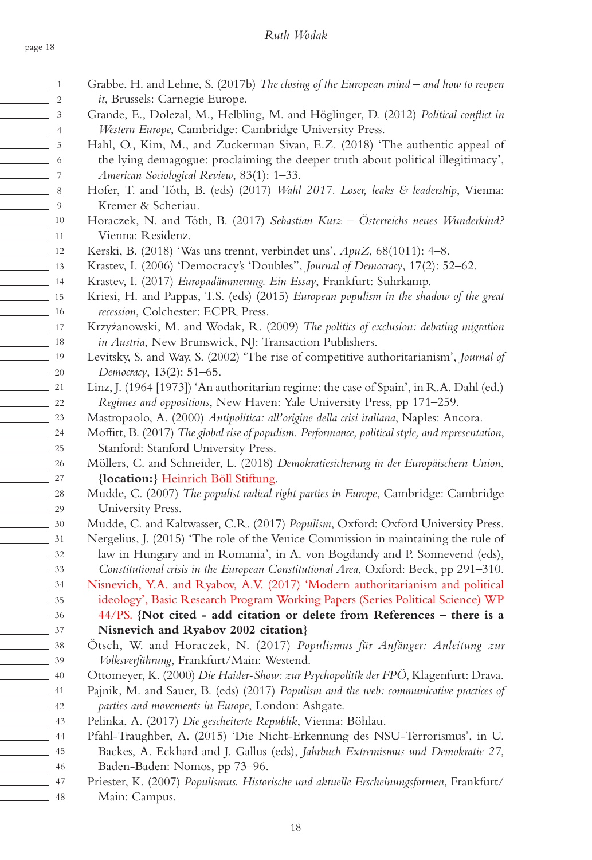# *Ruth Wodak*

| $\frac{1}{\sqrt{1-\frac{1}{2}}}\frac{1}{\sqrt{1-\frac{1}{2}}}\frac{1}{\sqrt{1-\frac{1}{2}}}\frac{1}{\sqrt{1-\frac{1}{2}}}\frac{1}{\sqrt{1-\frac{1}{2}}}\frac{1}{\sqrt{1-\frac{1}{2}}}\frac{1}{\sqrt{1-\frac{1}{2}}}\frac{1}{\sqrt{1-\frac{1}{2}}}\frac{1}{\sqrt{1-\frac{1}{2}}}\frac{1}{\sqrt{1-\frac{1}{2}}}\frac{1}{\sqrt{1-\frac{1}{2}}}\frac{1}{\sqrt{1-\frac{1}{2}}}\frac{1}{\sqrt{1-\frac{1}{2}}}\frac{1}{\sqrt{1-\frac{$ | Grabbe, H. and Lehne, S. (2017b) The closing of the European mind - and how to reopen                                                                            |
|---------------------------------------------------------------------------------------------------------------------------------------------------------------------------------------------------------------------------------------------------------------------------------------------------------------------------------------------------------------------------------------------------------------------------------|------------------------------------------------------------------------------------------------------------------------------------------------------------------|
| $\frac{1}{2}$                                                                                                                                                                                                                                                                                                                                                                                                                   | it, Brussels: Carnegie Europe.                                                                                                                                   |
| $\frac{1}{3}$                                                                                                                                                                                                                                                                                                                                                                                                                   | Grande, E., Dolezal, M., Helbling, M. and Höglinger, D. (2012) Political conflict in                                                                             |
| $\frac{1}{\sqrt{1-\frac{1}{2}}}\left(1-\frac{1}{2}\right)$                                                                                                                                                                                                                                                                                                                                                                      | Western Europe, Cambridge: Cambridge University Press.                                                                                                           |
| $\frac{1}{\sqrt{2}}$ 5                                                                                                                                                                                                                                                                                                                                                                                                          | Hahl, O., Kim, M., and Zuckerman Sivan, E.Z. (2018) 'The authentic appeal of                                                                                     |
| $\sim$ 6                                                                                                                                                                                                                                                                                                                                                                                                                        | the lying demagogue: proclaiming the deeper truth about political illegitimacy',                                                                                 |
|                                                                                                                                                                                                                                                                                                                                                                                                                                 | American Sociological Review, 83(1): 1-33.                                                                                                                       |
| $\sim$ 8                                                                                                                                                                                                                                                                                                                                                                                                                        | Hofer, T. and Tóth, B. (eds) (2017) Wahl 2017. Loser, leaks & leadership, Vienna:                                                                                |
| $\frac{1}{\sqrt{2}}$ 9                                                                                                                                                                                                                                                                                                                                                                                                          | Kremer & Scheriau.                                                                                                                                               |
| $\frac{10}{2}$                                                                                                                                                                                                                                                                                                                                                                                                                  | Horaczek, N. and Tóth, B. (2017) Sebastian Kurz - Österreichs neues Wunderkind?                                                                                  |
| $\frac{1}{2}$ 11                                                                                                                                                                                                                                                                                                                                                                                                                | Vienna: Residenz.                                                                                                                                                |
| $\frac{1}{2}$ 12                                                                                                                                                                                                                                                                                                                                                                                                                | Kerski, B. (2018) 'Was uns trennt, verbindet uns', ApuZ, 68(1011): 4-8.                                                                                          |
| $\frac{13}{2}$                                                                                                                                                                                                                                                                                                                                                                                                                  | Krastev, I. (2006) 'Democracy's 'Doubles", Journal of Democracy, 17(2): 52-62.                                                                                   |
| $\frac{14}{14}$                                                                                                                                                                                                                                                                                                                                                                                                                 | Krastev, I. (2017) Europadämmerung. Ein Essay, Frankfurt: Suhrkamp.                                                                                              |
| $\frac{1}{15}$                                                                                                                                                                                                                                                                                                                                                                                                                  | Kriesi, H. and Pappas, T.S. (eds) (2015) European populism in the shadow of the great                                                                            |
| $\frac{16}{2}$                                                                                                                                                                                                                                                                                                                                                                                                                  | recession, Colchester: ECPR Press.                                                                                                                               |
| $\frac{1}{2}$ 17                                                                                                                                                                                                                                                                                                                                                                                                                | Krzyżanowski, M. and Wodak, R. (2009) The politics of exclusion: debating migration                                                                              |
| $\frac{18}{2}$                                                                                                                                                                                                                                                                                                                                                                                                                  | in Austria, New Brunswick, NJ: Transaction Publishers.                                                                                                           |
| $\frac{1}{\sqrt{11}}$ 19                                                                                                                                                                                                                                                                                                                                                                                                        | Levitsky, S. and Way, S. (2002) 'The rise of competitive authoritarianism', Journal of                                                                           |
| $\frac{1}{20}$                                                                                                                                                                                                                                                                                                                                                                                                                  | Democracy, 13(2): 51-65.                                                                                                                                         |
| $\frac{1}{21}$                                                                                                                                                                                                                                                                                                                                                                                                                  | Linz, J. (1964 [1973]) 'An authoritarian regime: the case of Spain', in R.A. Dahl (ed.)                                                                          |
| $\frac{1}{22}$                                                                                                                                                                                                                                                                                                                                                                                                                  | Regimes and oppositions, New Haven: Yale University Press, pp 171-259.                                                                                           |
| $\frac{23}{2}$                                                                                                                                                                                                                                                                                                                                                                                                                  | Mastropaolo, A. (2000) Antipolitica: all'origine della crisi italiana, Naples: Ancora.                                                                           |
| $\frac{24}{2}$                                                                                                                                                                                                                                                                                                                                                                                                                  | Moffitt, B. (2017) The global rise of populism. Performance, political style, and representation,                                                                |
| $\frac{1}{25}$                                                                                                                                                                                                                                                                                                                                                                                                                  | Stanford: Stanford University Press.                                                                                                                             |
| $\frac{26}{\sqrt{25}}$                                                                                                                                                                                                                                                                                                                                                                                                          | Möllers, C. and Schneider, L. (2018) Demokratiesicherung in der Europäischern Union,                                                                             |
| $\frac{1}{27}$                                                                                                                                                                                                                                                                                                                                                                                                                  | {location:} Heinrich Böll Stiftung.                                                                                                                              |
| $\frac{28}{2}$                                                                                                                                                                                                                                                                                                                                                                                                                  | Mudde, C. (2007) The populist radical right parties in Europe, Cambridge: Cambridge                                                                              |
| $\frac{29}{2}$                                                                                                                                                                                                                                                                                                                                                                                                                  | University Press.                                                                                                                                                |
| $\frac{30}{2}$                                                                                                                                                                                                                                                                                                                                                                                                                  | Mudde, C. and Kaltwasser, C.R. (2017) Populism, Oxford: Oxford University Press.                                                                                 |
| $\frac{31}{2}$                                                                                                                                                                                                                                                                                                                                                                                                                  | Nergelius, J. (2015) 'The role of the Venice Commission in maintaining the rule of<br>law in Hungary and in Romania', in A. von Bogdandy and P. Sonnevend (eds), |
| $\frac{32}{2}$<br>$\frac{33}{2}$                                                                                                                                                                                                                                                                                                                                                                                                | Constitutional crisis in the European Constitutional Area, Oxford: Beck, pp 291-310.                                                                             |
| $\frac{34}{ }$                                                                                                                                                                                                                                                                                                                                                                                                                  | Nisnevich, Y.A. and Ryabov, A.V. (2017) 'Modern authoritarianism and political                                                                                   |
| $\frac{1}{2}$ 35                                                                                                                                                                                                                                                                                                                                                                                                                | ideology', Basic Research Program Working Papers (Series Political Science) WP                                                                                   |
| $\frac{1}{\sqrt{1-\frac{1}{2}}}\frac{36}{1-\frac{1}{2}}$                                                                                                                                                                                                                                                                                                                                                                        | 44/PS. {Not cited - add citation or delete from References - there is a                                                                                          |
| $\frac{37}{2}$                                                                                                                                                                                                                                                                                                                                                                                                                  | Nisnevich and Ryabov 2002 citation}                                                                                                                              |
| $\frac{1}{2}$ 38                                                                                                                                                                                                                                                                                                                                                                                                                | Ötsch, W. and Horaczek, N. (2017) Populismus für Anfänger: Anleitung zur                                                                                         |
| $\frac{1}{\sqrt{39}}$                                                                                                                                                                                                                                                                                                                                                                                                           | Volksverführung, Frankfurt/Main: Westend.                                                                                                                        |
| $\frac{40}{2}$                                                                                                                                                                                                                                                                                                                                                                                                                  | Ottomeyer, K. (2000) Die Haider-Show: zur Psychopolitik der FPÖ, Klagenfurt: Drava.                                                                              |
| $\frac{41}{2}$                                                                                                                                                                                                                                                                                                                                                                                                                  | Pajnik, M. and Sauer, B. (eds) (2017) Populism and the web: communicative practices of                                                                           |
| $\frac{42}{1}$                                                                                                                                                                                                                                                                                                                                                                                                                  | parties and movements in Europe, London: Ashgate.                                                                                                                |
| $\sim$ 43                                                                                                                                                                                                                                                                                                                                                                                                                       | Pelinka, A. (2017) Die gescheiterte Republik, Vienna: Böhlau.                                                                                                    |
| $\sim$ 44                                                                                                                                                                                                                                                                                                                                                                                                                       | Pfahl-Traughber, A. (2015) 'Die Nicht-Erkennung des NSU-Terrorismus', in U.                                                                                      |
| $\sim$ 45                                                                                                                                                                                                                                                                                                                                                                                                                       | Backes, A. Eckhard and J. Gallus (eds), Jahrbuch Extremismus und Demokratie 27,                                                                                  |
| $\frac{1}{2}$ 46                                                                                                                                                                                                                                                                                                                                                                                                                | Baden-Baden: Nomos, pp 73-96.                                                                                                                                    |
| $\frac{1}{2}$ 47                                                                                                                                                                                                                                                                                                                                                                                                                | Priester, K. (2007) Populismus. Historische und aktuelle Erscheinungsformen, Frankfurt/                                                                          |
| $\frac{1}{2}$ 48                                                                                                                                                                                                                                                                                                                                                                                                                | Main: Campus.                                                                                                                                                    |
|                                                                                                                                                                                                                                                                                                                                                                                                                                 |                                                                                                                                                                  |

Main: Campus.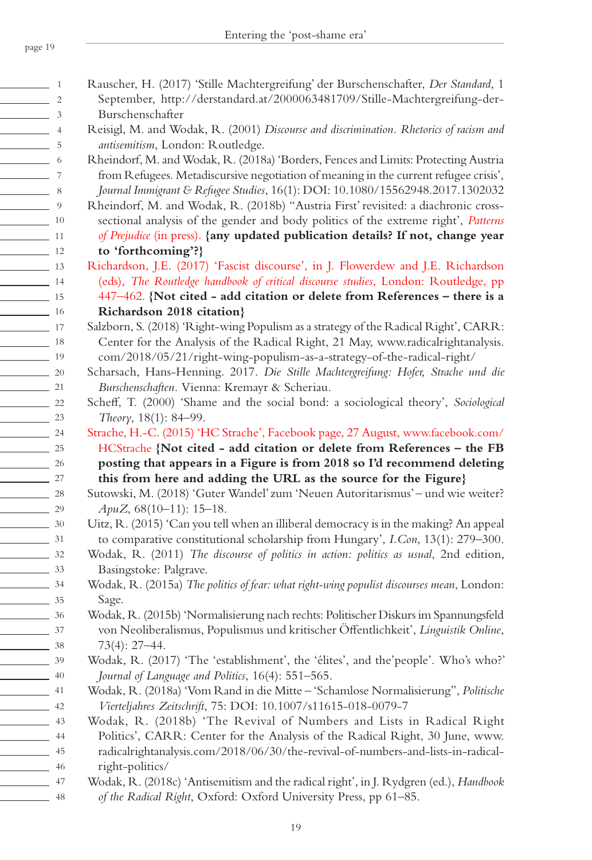Rauscher, H. (2017) 'Stille Machtergreifung' der Burschenschafter, *Der Standard*, 1

|                                                                                                                                                                                                                                      | $\mathbf{1}$             |
|--------------------------------------------------------------------------------------------------------------------------------------------------------------------------------------------------------------------------------------|--------------------------|
|                                                                                                                                                                                                                                      | $\overline{c}$           |
|                                                                                                                                                                                                                                      | 3                        |
|                                                                                                                                                                                                                                      | $\overline{\mathcal{L}}$ |
|                                                                                                                                                                                                                                      | 5                        |
|                                                                                                                                                                                                                                      | 6                        |
| <u> The Common State State State State State State State State State State State State State State State State State State State State State State State State State State State State State State State State State State State</u> | $\overline{7}$           |
|                                                                                                                                                                                                                                      | 8                        |
|                                                                                                                                                                                                                                      | 9                        |
|                                                                                                                                                                                                                                      | 10                       |
|                                                                                                                                                                                                                                      | 11                       |
|                                                                                                                                                                                                                                      | 12                       |
|                                                                                                                                                                                                                                      | 13                       |
|                                                                                                                                                                                                                                      | 14                       |
|                                                                                                                                                                                                                                      | 15                       |
|                                                                                                                                                                                                                                      | 16                       |
|                                                                                                                                                                                                                                      | 17                       |
|                                                                                                                                                                                                                                      | 18                       |
|                                                                                                                                                                                                                                      | 19                       |
|                                                                                                                                                                                                                                      | 20                       |
|                                                                                                                                                                                                                                      | 21                       |
|                                                                                                                                                                                                                                      | $\overline{22}$          |
|                                                                                                                                                                                                                                      | 23                       |
|                                                                                                                                                                                                                                      | 24                       |
|                                                                                                                                                                                                                                      | 25                       |
|                                                                                                                                                                                                                                      | 26                       |
|                                                                                                                                                                                                                                      | 27                       |
|                                                                                                                                                                                                                                      | 28                       |
|                                                                                                                                                                                                                                      | 29                       |
|                                                                                                                                                                                                                                      | $30\,$                   |
|                                                                                                                                                                                                                                      | 31                       |
| <u>and the state of the state of the state of the state of the state of the state of the state of the state of the state of the state of the state of the state of the state of the state of the state of the state of the state</u> | 32                       |
|                                                                                                                                                                                                                                      | 33                       |
|                                                                                                                                                                                                                                      | 34                       |
|                                                                                                                                                                                                                                      | 35                       |
|                                                                                                                                                                                                                                      | 36                       |
|                                                                                                                                                                                                                                      | 37                       |
|                                                                                                                                                                                                                                      | 38                       |
|                                                                                                                                                                                                                                      | 39                       |
|                                                                                                                                                                                                                                      | 40                       |
|                                                                                                                                                                                                                                      | 41                       |
|                                                                                                                                                                                                                                      | 42                       |
|                                                                                                                                                                                                                                      | 43                       |
|                                                                                                                                                                                                                                      | 44                       |
|                                                                                                                                                                                                                                      | 45                       |

46 47 48

September, http://derstandard.at/2000063481709/Stille-Machtergreifung-der-Burschenschafter Reisigl, M. and Wodak, R. (2001) *Discourse and discrimination. Rhetorics of racism and antisemitism*, London: Routledge. Rheindorf, M. and Wodak, R. (2018a) 'Borders, Fences and Limits: Protecting Austria from Refugees. Metadiscursive negotiation of meaning in the current refugee crisis', *Journal Immigrant & Refugee Studies*, 16(1): DOI: 10.1080/15562948.2017.1302032 Rheindorf, M. and Wodak, R. (2018b) ''Austria First' revisited: a diachronic crosssectional analysis of the gender and body politics of the extreme right', *Patterns of Prejudice* (in press). **{any updated publication details? If not, change year to 'forthcoming'?}** Richardson, J.E. (2017) 'Fascist discourse', in J. Flowerdew and J.E. Richardson (eds), *The Routledge handbook of critical discourse studies*, London: Routledge, pp 447–462. **{Not cited - add citation or delete from References – there is a Richardson 2018 citation}** Salzborn, S. (2018) 'Right-wing Populism as a strategy of the Radical Right', CARR: Center for the Analysis of the Radical Right, 21 May, www.radicalrightanalysis. com/2018/05/21/right-wing-populism-as-a-strategy-of-the-radical-right/ Scharsach, Hans-Henning. 2017. *Die Stille Machtergreifung: Hofer, Strache und die Burschenschaften.* Vienna: Kremayr & Scheriau. Scheff, T. (2000) 'Shame and the social bond: a sociological theory', *Sociological Theory*, 18(1): 84–99. Strache, H.-C. (2015) 'HC Strache', Facebook page, 27 August, www.facebook.com/ HCStrache **{Not cited - add citation or delete from References – the FB posting that appears in a Figure is from 2018 so I'd recommend deleting this from here and adding the URL as the source for the Figure}** Sutowski, M. (2018) 'Guter Wandel' zum 'Neuen Autoritarismus' – und wie weiter? *ApuZ*, 68(10–11): 15–18. Uitz, R. (2015) 'Can you tell when an illiberal democracy is in the making? An appeal to comparative constitutional scholarship from Hungary', *I.Con*, 13(1): 279–300. Wodak, R. (2011) *The discourse of politics in action: politics as usual*, 2nd edition, Basingstoke: Palgrave. Wodak, R. (2015a) *The politics of fear: what right-wing populist discourses mean*, London: Sage. Wodak, R. (2015b) 'Normalisierung nach rechts: Politischer Diskurs im Spannungsfeld von Neoliberalismus, Populismus und kritischer Öffentlichkeit', *Linguistik Online*, 73(4): 27–44. Wodak, R. (2017) 'The 'establishment', the 'élites', and the'people'. Who's who?' *Journal of Language and Politics*, 16(4): 551–565. Wodak, R. (2018a) 'Vom Rand in die Mitte – 'Schamlose Normalisierung'', *Politische Vierteljahres Zeitschrift*, 75: DOI: 10.1007/s11615-018-0079-7 Wodak, R. (2018b) 'The Revival of Numbers and Lists in Radical Right Politics', CARR: Center for the Analysis of the Radical Right, 30 June, www. radicalrightanalysis.com/2018/06/30/the-revival-of-numbers-and-lists-in-radicalright-politics/ Wodak, R. (2018c) 'Antisemitism and the radical right', in J. Rydgren (ed.), *Handbook* 

*of the Radical Right*, Oxford: Oxford University Press, pp 61–85.